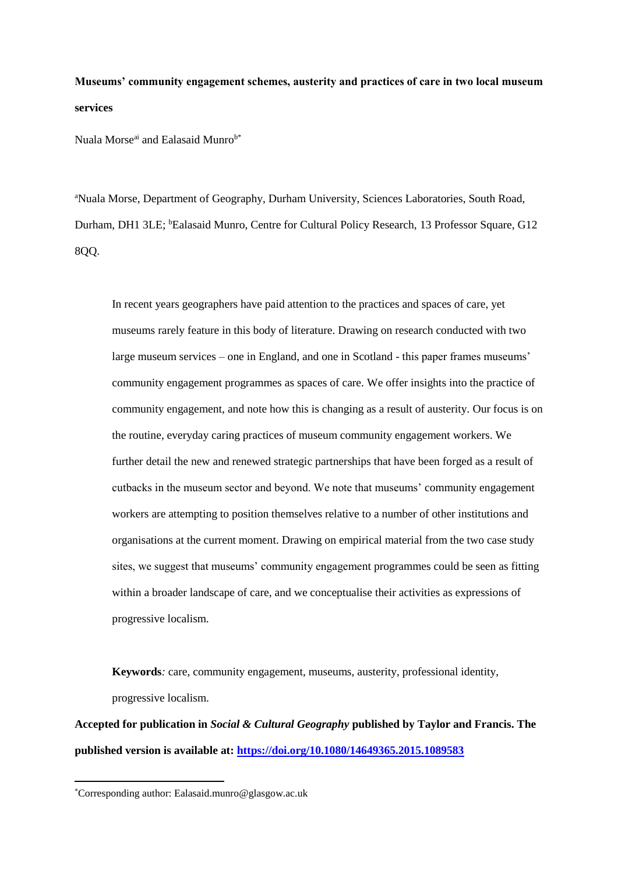**Museums' community engagement schemes, austerity and practices of care in two local museum services**

Nuala Morse<sup>ai</sup> and Ealasaid Munro<sup>b\*</sup>

<sup>a</sup>Nuala Morse, Department of Geography, Durham University, Sciences Laboratories, South Road, Durham, DH1 3LE; <sup>b</sup>Ealasaid Munro, Centre for Cultural Policy Research, 13 Professor Square, G12 8QQ.

In recent years geographers have paid attention to the practices and spaces of care, yet museums rarely feature in this body of literature. Drawing on research conducted with two large museum services – one in England, and one in Scotland - this paper frames museums' community engagement programmes as spaces of care. We offer insights into the practice of community engagement, and note how this is changing as a result of austerity. Our focus is on the routine, everyday caring practices of museum community engagement workers. We further detail the new and renewed strategic partnerships that have been forged as a result of cutbacks in the museum sector and beyond. We note that museums' community engagement workers are attempting to position themselves relative to a number of other institutions and organisations at the current moment. Drawing on empirical material from the two case study sites, we suggest that museums' community engagement programmes could be seen as fitting within a broader landscape of care, and we conceptualise their activities as expressions of progressive localism.

**Keywords***:* care, community engagement, museums, austerity, professional identity, progressive localism.

**Accepted for publication in** *Social & Cultural Geography* **published by Taylor and Francis. The published version is available at:<https://doi.org/10.1080/14649365.2015.1089583>**

-

<sup>\*</sup>Corresponding author: Ealasaid.munro@glasgow.ac.uk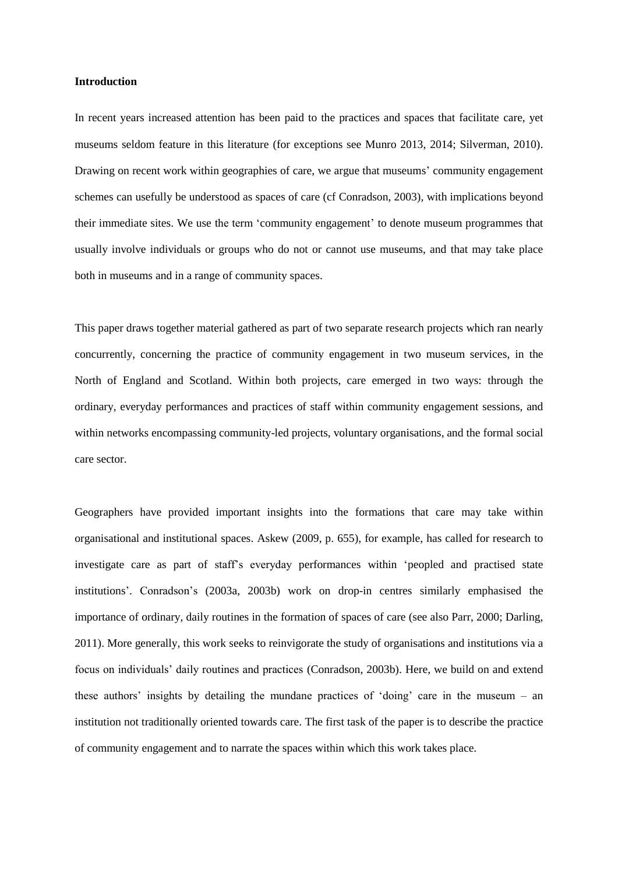### **Introduction**

In recent years increased attention has been paid to the practices and spaces that facilitate care, yet museums seldom feature in this literature (for exceptions see Munro 2013, 2014; Silverman, 2010). Drawing on recent work within geographies of care, we argue that museums' community engagement schemes can usefully be understood as spaces of care (cf Conradson, 2003), with implications beyond their immediate sites. We use the term 'community engagement' to denote museum programmes that usually involve individuals or groups who do not or cannot use museums, and that may take place both in museums and in a range of community spaces.

This paper draws together material gathered as part of two separate research projects which ran nearly concurrently, concerning the practice of community engagement in two museum services, in the North of England and Scotland. Within both projects, care emerged in two ways: through the ordinary, everyday performances and practices of staff within community engagement sessions, and within networks encompassing community-led projects, voluntary organisations, and the formal social care sector.

Geographers have provided important insights into the formations that care may take within organisational and institutional spaces. Askew (2009, p. 655), for example, has called for research to investigate care as part of staff's everyday performances within 'peopled and practised state institutions'. Conradson's (2003a, 2003b) work on drop-in centres similarly emphasised the importance of ordinary, daily routines in the formation of spaces of care (see also Parr, 2000; Darling, 2011). More generally, this work seeks to reinvigorate the study of organisations and institutions via a focus on individuals' daily routines and practices (Conradson, 2003b). Here, we build on and extend these authors' insights by detailing the mundane practices of 'doing' care in the museum – an institution not traditionally oriented towards care. The first task of the paper is to describe the practice of community engagement and to narrate the spaces within which this work takes place.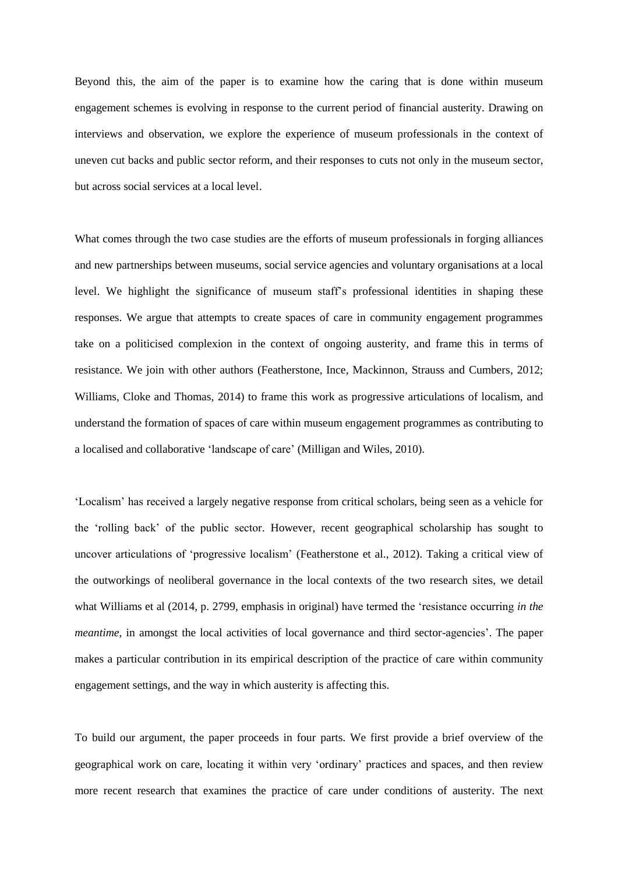Beyond this, the aim of the paper is to examine how the caring that is done within museum engagement schemes is evolving in response to the current period of financial austerity. Drawing on interviews and observation, we explore the experience of museum professionals in the context of uneven cut backs and public sector reform, and their responses to cuts not only in the museum sector, but across social services at a local level.

What comes through the two case studies are the efforts of museum professionals in forging alliances and new partnerships between museums, social service agencies and voluntary organisations at a local level. We highlight the significance of museum staff's professional identities in shaping these responses. We argue that attempts to create spaces of care in community engagement programmes take on a politicised complexion in the context of ongoing austerity, and frame this in terms of resistance. We join with other authors (Featherstone, Ince, Mackinnon, Strauss and Cumbers, 2012; Williams, Cloke and Thomas, 2014) to frame this work as progressive articulations of localism, and understand the formation of spaces of care within museum engagement programmes as contributing to a localised and collaborative 'landscape of care' (Milligan and Wiles, 2010).

'Localism' has received a largely negative response from critical scholars, being seen as a vehicle for the 'rolling back' of the public sector. However, recent geographical scholarship has sought to uncover articulations of 'progressive localism' (Featherstone et al., 2012). Taking a critical view of the outworkings of neoliberal governance in the local contexts of the two research sites, we detail what Williams et al (2014, p. 2799, emphasis in original) have termed the 'resistance occurring *in the meantime*, in amongst the local activities of local governance and third sector-agencies'. The paper makes a particular contribution in its empirical description of the practice of care within community engagement settings, and the way in which austerity is affecting this.

To build our argument, the paper proceeds in four parts. We first provide a brief overview of the geographical work on care, locating it within very 'ordinary' practices and spaces, and then review more recent research that examines the practice of care under conditions of austerity. The next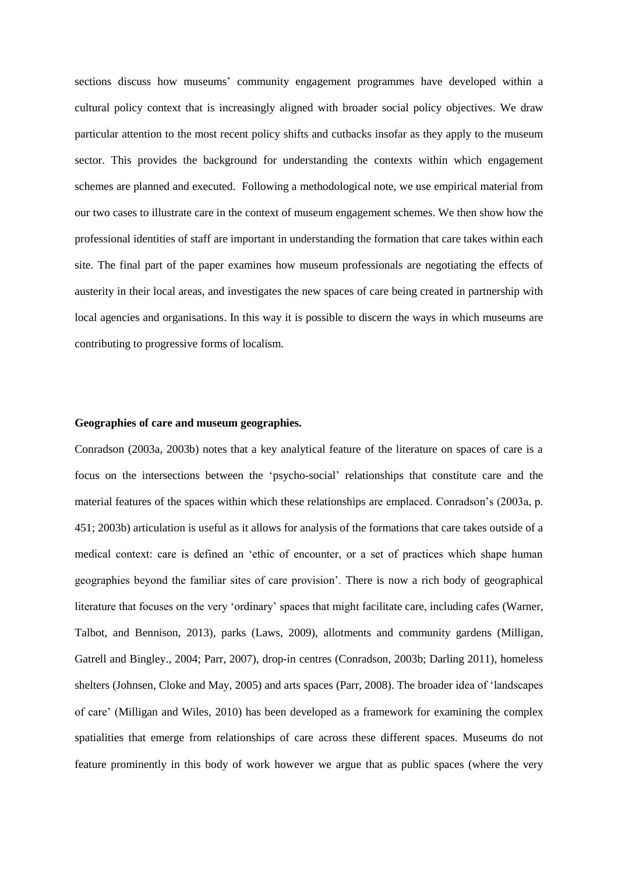sections discuss how museums' community engagement programmes have developed within a cultural policy context that is increasingly aligned with broader social policy objectives. We draw particular attention to the most recent policy shifts and cutbacks insofar as they apply to the museum sector. This provides the background for understanding the contexts within which engagement schemes are planned and executed. Following a methodological note, we use empirical material from our two cases to illustrate care in the context of museum engagement schemes. We then show how the professional identities of staff are important in understanding the formation that care takes within each site. The final part of the paper examines how museum professionals are negotiating the effects of austerity in their local areas, and investigates the new spaces of care being created in partnership with local agencies and organisations. In this way it is possible to discern the ways in which museums are contributing to progressive forms of localism.

## **Geographies of care and museum geographies.**

Conradson (2003a, 2003b) notes that a key analytical feature of the literature on spaces of care is a focus on the intersections between the 'psycho-social' relationships that constitute care and the material features of the spaces within which these relationships are emplaced. Conradson's (2003a, p. 451; 2003b) articulation is useful as it allows for analysis of the formations that care takes outside of a medical context: care is defined an 'ethic of encounter, or a set of practices which shape human geographies beyond the familiar sites of care provision'. There is now a rich body of geographical literature that focuses on the very 'ordinary' spaces that might facilitate care, including cafes (Warner, Talbot, and Bennison, 2013), parks (Laws, 2009), allotments and community gardens (Milligan, Gatrell and Bingley., 2004; Parr, 2007), drop-in centres (Conradson, 2003b; Darling 2011), homeless shelters (Johnsen, Cloke and May, 2005) and arts spaces (Parr, 2008). The broader idea of 'landscapes of care' (Milligan and Wiles, 2010) has been developed as a framework for examining the complex spatialities that emerge from relationships of care across these different spaces. Museums do not feature prominently in this body of work however we argue that as public spaces (where the very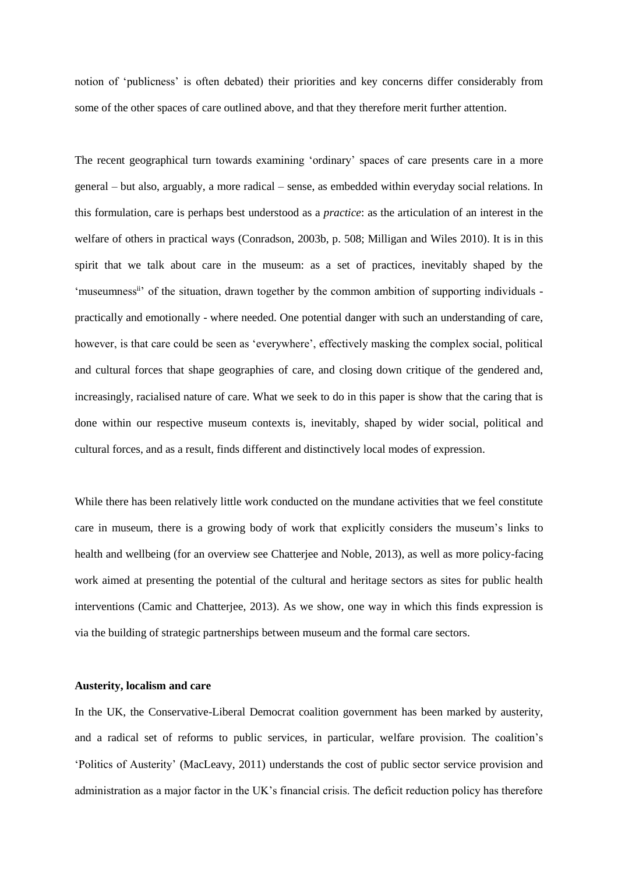notion of 'publicness' is often debated) their priorities and key concerns differ considerably from some of the other spaces of care outlined above, and that they therefore merit further attention.

The recent geographical turn towards examining 'ordinary' spaces of care presents care in a more general – but also, arguably, a more radical – sense, as embedded within everyday social relations. In this formulation, care is perhaps best understood as a *practice*: as the articulation of an interest in the welfare of others in practical ways (Conradson, 2003b, p. 508; Milligan and Wiles 2010). It is in this spirit that we talk about care in the museum: as a set of practices, inevitably shaped by the 'museumness<sup>ii</sup>' of the situation, drawn together by the common ambition of supporting individuals practically and emotionally - where needed. One potential danger with such an understanding of care, however, is that care could be seen as 'everywhere', effectively masking the complex social, political and cultural forces that shape geographies of care, and closing down critique of the gendered and, increasingly, racialised nature of care. What we seek to do in this paper is show that the caring that is done within our respective museum contexts is, inevitably, shaped by wider social, political and cultural forces, and as a result, finds different and distinctively local modes of expression.

While there has been relatively little work conducted on the mundane activities that we feel constitute care in museum, there is a growing body of work that explicitly considers the museum's links to health and wellbeing (for an overview see Chatterjee and Noble, 2013), as well as more policy-facing work aimed at presenting the potential of the cultural and heritage sectors as sites for public health interventions (Camic and Chatterjee, 2013). As we show, one way in which this finds expression is via the building of strategic partnerships between museum and the formal care sectors.

## **Austerity, localism and care**

In the UK, the Conservative-Liberal Democrat coalition government has been marked by austerity, and a radical set of reforms to public services, in particular, welfare provision. The coalition's 'Politics of Austerity' (MacLeavy, 2011) understands the cost of public sector service provision and administration as a major factor in the UK's financial crisis. The deficit reduction policy has therefore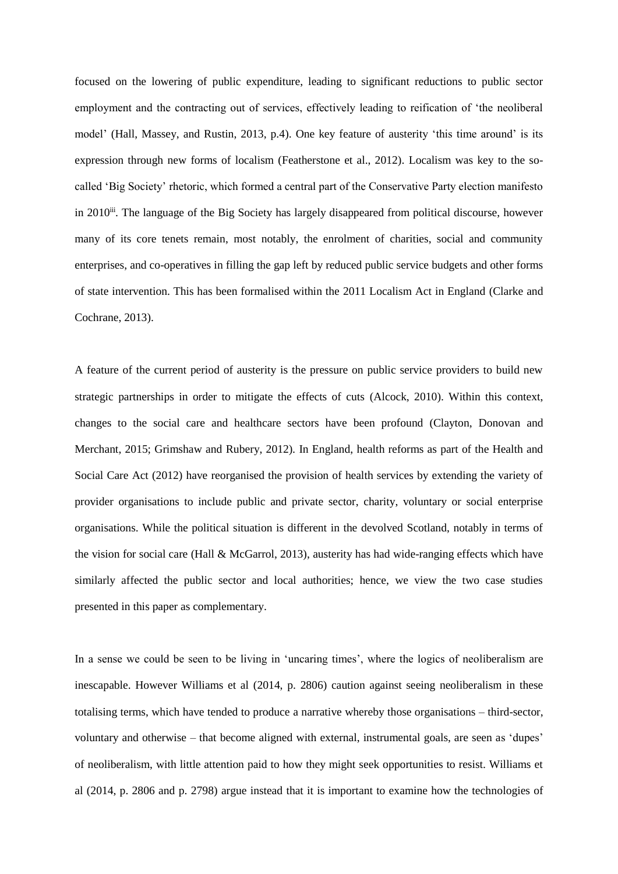focused on the lowering of public expenditure, leading to significant reductions to public sector employment and the contracting out of services, effectively leading to reification of 'the neoliberal model' (Hall, Massey, and Rustin, 2013, p.4). One key feature of austerity 'this time around' is its expression through new forms of localism (Featherstone et al., 2012). Localism was key to the socalled 'Big Society' rhetoric, which formed a central part of the Conservative Party election manifesto in  $2010^{\text{iii}}$ . The language of the Big Society has largely disappeared from political discourse, however many of its core tenets remain, most notably, the enrolment of charities, social and community enterprises, and co-operatives in filling the gap left by reduced public service budgets and other forms of state intervention. This has been formalised within the 2011 Localism Act in England (Clarke and Cochrane, 2013).

A feature of the current period of austerity is the pressure on public service providers to build new strategic partnerships in order to mitigate the effects of cuts (Alcock, 2010). Within this context, changes to the social care and healthcare sectors have been profound (Clayton, Donovan and Merchant, 2015; Grimshaw and Rubery, 2012)*.* In England, health reforms as part of the Health and Social Care Act (2012) have reorganised the provision of health services by extending the variety of provider organisations to include public and private sector, charity, voluntary or social enterprise organisations. While the political situation is different in the devolved Scotland, notably in terms of the vision for social care (Hall & McGarrol, 2013), austerity has had wide-ranging effects which have similarly affected the public sector and local authorities; hence, we view the two case studies presented in this paper as complementary.

In a sense we could be seen to be living in 'uncaring times', where the logics of neoliberalism are inescapable. However Williams et al (2014, p. 2806) caution against seeing neoliberalism in these totalising terms, which have tended to produce a narrative whereby those organisations – third-sector, voluntary and otherwise – that become aligned with external, instrumental goals, are seen as 'dupes' of neoliberalism, with little attention paid to how they might seek opportunities to resist. Williams et al (2014, p. 2806 and p. 2798) argue instead that it is important to examine how the technologies of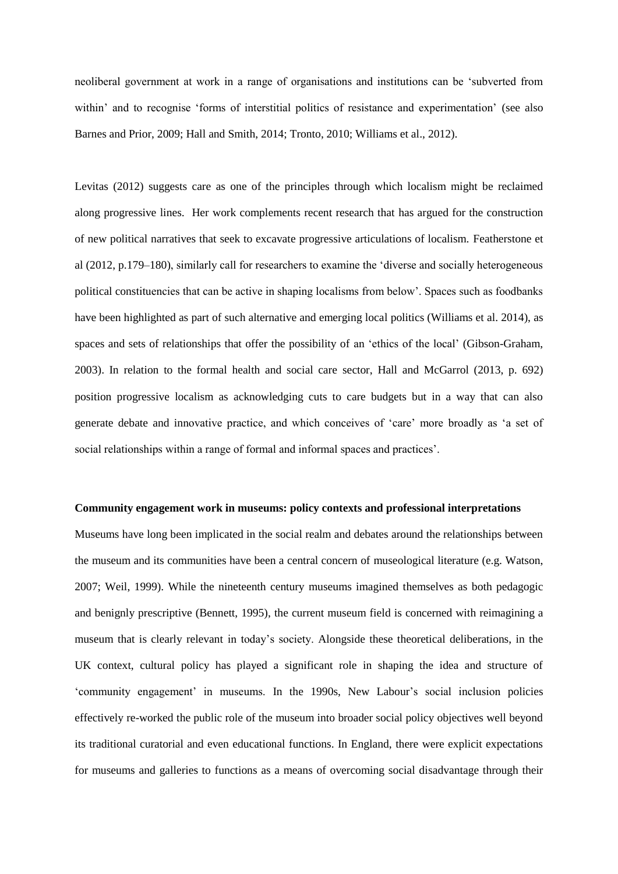neoliberal government at work in a range of organisations and institutions can be 'subverted from within' and to recognise 'forms of interstitial politics of resistance and experimentation' (see also Barnes and Prior, 2009; Hall and Smith, 2014; Tronto, 2010; Williams et al., 2012).

Levitas (2012) suggests care as one of the principles through which localism might be reclaimed along progressive lines. Her work complements recent research that has argued for the construction of new political narratives that seek to excavate progressive articulations of localism. Featherstone et al (2012, p.179–180), similarly call for researchers to examine the 'diverse and socially heterogeneous political constituencies that can be active in shaping localisms from below'. Spaces such as foodbanks have been highlighted as part of such alternative and emerging local politics (Williams et al. 2014), as spaces and sets of relationships that offer the possibility of an 'ethics of the local' (Gibson-Graham, 2003). In relation to the formal health and social care sector, Hall and McGarrol (2013, p. 692) position progressive localism as acknowledging cuts to care budgets but in a way that can also generate debate and innovative practice, and which conceives of 'care' more broadly as 'a set of social relationships within a range of formal and informal spaces and practices'.

# **Community engagement work in museums: policy contexts and professional interpretations**

Museums have long been implicated in the social realm and debates around the relationships between the museum and its communities have been a central concern of museological literature (e.g. Watson, 2007; Weil, 1999). While the nineteenth century museums imagined themselves as both pedagogic and benignly prescriptive (Bennett, 1995), the current museum field is concerned with reimagining a museum that is clearly relevant in today's society. Alongside these theoretical deliberations, in the UK context, cultural policy has played a significant role in shaping the idea and structure of 'community engagement' in museums. In the 1990s, New Labour's social inclusion policies effectively re-worked the public role of the museum into broader social policy objectives well beyond its traditional curatorial and even educational functions. In England, there were explicit expectations for museums and galleries to functions as a means of overcoming social disadvantage through their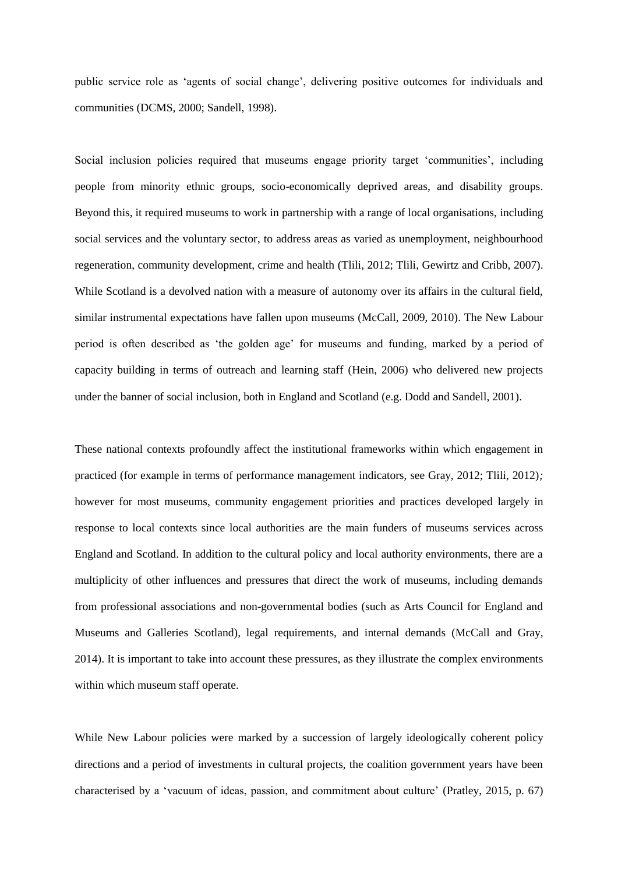public service role as 'agents of social change', delivering positive outcomes for individuals and communities (DCMS, 2000; Sandell, 1998).

Social inclusion policies required that museums engage priority target 'communities', including people from minority ethnic groups, socio-economically deprived areas, and disability groups. Beyond this, it required museums to work in partnership with a range of local organisations, including social services and the voluntary sector, to address areas as varied as unemployment, neighbourhood regeneration, community development, crime and health (Tlili, 2012; Tlili, Gewirtz and Cribb, 2007). While Scotland is a devolved nation with a measure of autonomy over its affairs in the cultural field, similar instrumental expectations have fallen upon museums (McCall, 2009, 2010). The New Labour period is often described as 'the golden age' for museums and funding, marked by a period of capacity building in terms of outreach and learning staff (Hein, 2006) who delivered new projects under the banner of social inclusion, both in England and Scotland (e.g. Dodd and Sandell, 2001).

These national contexts profoundly affect the institutional frameworks within which engagement in practiced (for example in terms of performance management indicators, see Gray, 2012; Tlili, 2012)*;* however for most museums, community engagement priorities and practices developed largely in response to local contexts since local authorities are the main funders of museums services across England and Scotland. In addition to the cultural policy and local authority environments, there are a multiplicity of other influences and pressures that direct the work of museums, including demands from professional associations and non-governmental bodies (such as Arts Council for England and Museums and Galleries Scotland), legal requirements, and internal demands (McCall and Gray, 2014). It is important to take into account these pressures, as they illustrate the complex environments within which museum staff operate.

While New Labour policies were marked by a succession of largely ideologically coherent policy directions and a period of investments in cultural projects, the coalition government years have been characterised by a 'vacuum of ideas, passion, and commitment about culture' (Pratley, 2015, p. 67)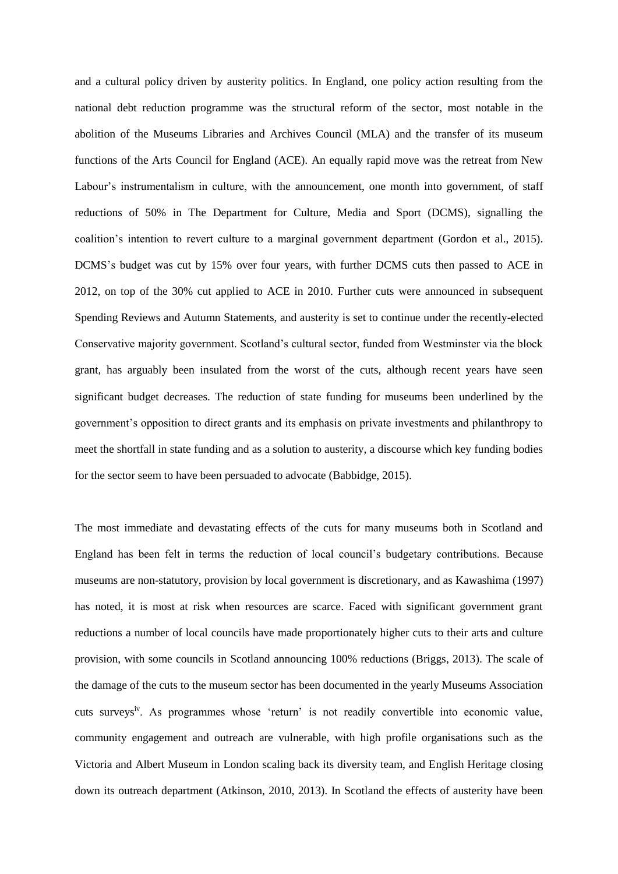and a cultural policy driven by austerity politics. In England, one policy action resulting from the national debt reduction programme was the structural reform of the sector, most notable in the abolition of the Museums Libraries and Archives Council (MLA) and the transfer of its museum functions of the Arts Council for England (ACE). An equally rapid move was the retreat from New Labour's instrumentalism in culture, with the announcement, one month into government, of staff reductions of 50% in The Department for Culture, Media and Sport (DCMS), signalling the coalition's intention to revert culture to a marginal government department (Gordon et al., 2015). DCMS's budget was cut by 15% over four years, with further DCMS cuts then passed to ACE in 2012, on top of the 30% cut applied to ACE in 2010. Further cuts were announced in subsequent Spending Reviews and Autumn Statements, and austerity is set to continue under the recently-elected Conservative majority government. Scotland's cultural sector, funded from Westminster via the block grant, has arguably been insulated from the worst of the cuts, although recent years have seen significant budget decreases. The reduction of state funding for museums been underlined by the government's opposition to direct grants and its emphasis on private investments and philanthropy to meet the shortfall in state funding and as a solution to austerity, a discourse which key funding bodies for the sector seem to have been persuaded to advocate (Babbidge, 2015).

The most immediate and devastating effects of the cuts for many museums both in Scotland and England has been felt in terms the reduction of local council's budgetary contributions. Because museums are non-statutory, provision by local government is discretionary, and as Kawashima (1997) has noted, it is most at risk when resources are scarce. Faced with significant government grant reductions a number of local councils have made proportionately higher cuts to their arts and culture provision, with some councils in Scotland announcing 100% reductions (Briggs, 2013). The scale of the damage of the cuts to the museum sector has been documented in the yearly Museums Association cuts surveysiv. As programmes whose 'return' is not readily convertible into economic value, community engagement and outreach are vulnerable, with high profile organisations such as the Victoria and Albert Museum in London scaling back its diversity team, and English Heritage closing down its outreach department (Atkinson, 2010, 2013). In Scotland the effects of austerity have been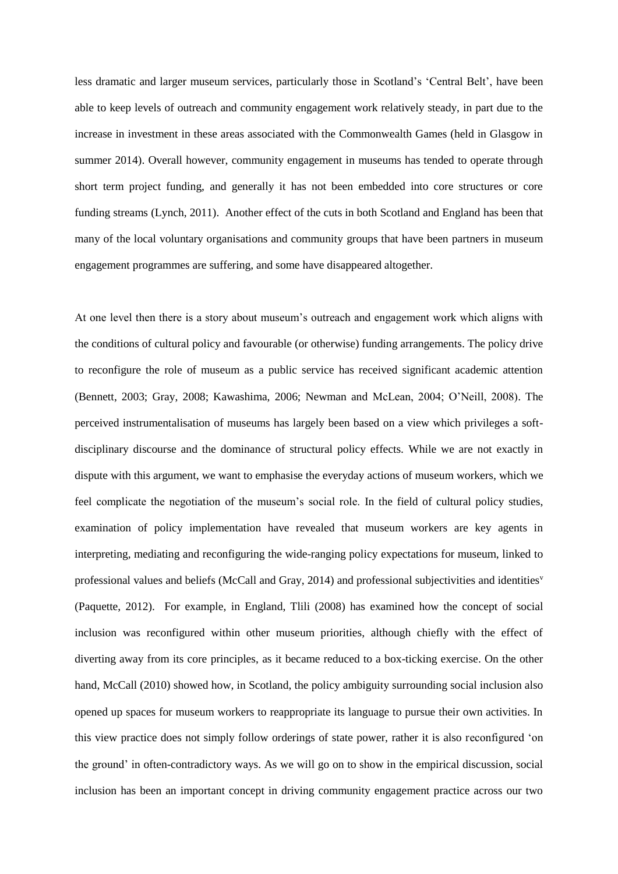less dramatic and larger museum services, particularly those in Scotland's 'Central Belt', have been able to keep levels of outreach and community engagement work relatively steady, in part due to the increase in investment in these areas associated with the Commonwealth Games (held in Glasgow in summer 2014). Overall however, community engagement in museums has tended to operate through short term project funding, and generally it has not been embedded into core structures or core funding streams (Lynch, 2011). Another effect of the cuts in both Scotland and England has been that many of the local voluntary organisations and community groups that have been partners in museum engagement programmes are suffering, and some have disappeared altogether.

At one level then there is a story about museum's outreach and engagement work which aligns with the conditions of cultural policy and favourable (or otherwise) funding arrangements. The policy drive to reconfigure the role of museum as a public service has received significant academic attention (Bennett, 2003; Gray, 2008; Kawashima, 2006; Newman and McLean, 2004; O'Neill, 2008). The perceived instrumentalisation of museums has largely been based on a view which privileges a softdisciplinary discourse and the dominance of structural policy effects. While we are not exactly in dispute with this argument, we want to emphasise the everyday actions of museum workers, which we feel complicate the negotiation of the museum's social role. In the field of cultural policy studies, examination of policy implementation have revealed that museum workers are key agents in interpreting, mediating and reconfiguring the wide-ranging policy expectations for museum, linked to professional values and beliefs (McCall and Gray, 2014) and professional subjectivities and identities<sup> $v$ </sup> (Paquette, 2012). For example, in England, Tlili (2008) has examined how the concept of social inclusion was reconfigured within other museum priorities, although chiefly with the effect of diverting away from its core principles, as it became reduced to a box-ticking exercise. On the other hand, McCall (2010) showed how, in Scotland, the policy ambiguity surrounding social inclusion also opened up spaces for museum workers to reappropriate its language to pursue their own activities. In this view practice does not simply follow orderings of state power, rather it is also reconfigured 'on the ground' in often-contradictory ways. As we will go on to show in the empirical discussion, social inclusion has been an important concept in driving community engagement practice across our two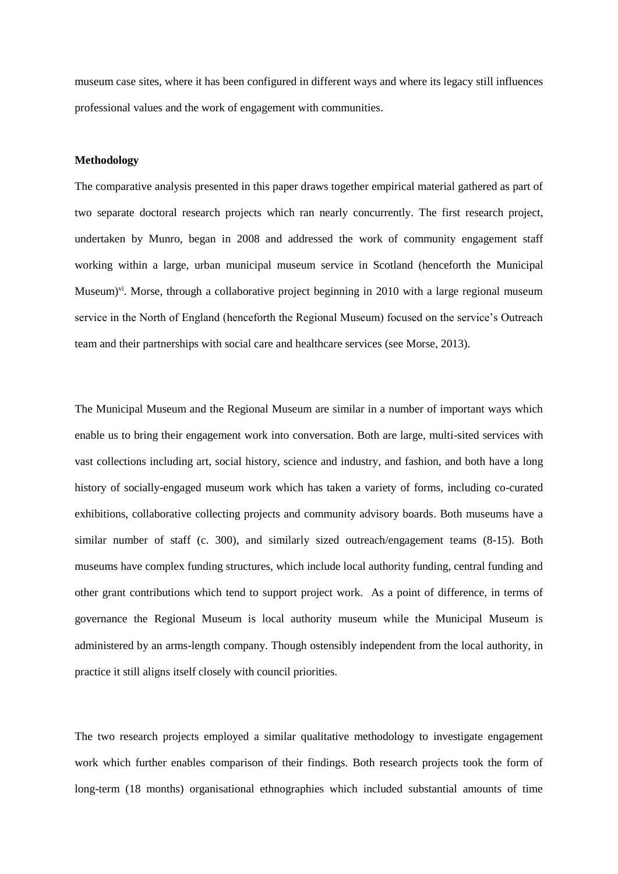museum case sites, where it has been configured in different ways and where its legacy still influences professional values and the work of engagement with communities.

### **Methodology**

The comparative analysis presented in this paper draws together empirical material gathered as part of two separate doctoral research projects which ran nearly concurrently. The first research project, undertaken by Munro, began in 2008 and addressed the work of community engagement staff working within a large, urban municipal museum service in Scotland (henceforth the Municipal Museum)<sup>vi</sup>. Morse, through a collaborative project beginning in 2010 with a large regional museum service in the North of England (henceforth the Regional Museum) focused on the service's Outreach team and their partnerships with social care and healthcare services (see Morse, 2013).

The Municipal Museum and the Regional Museum are similar in a number of important ways which enable us to bring their engagement work into conversation. Both are large, multi-sited services with vast collections including art, social history, science and industry, and fashion, and both have a long history of socially-engaged museum work which has taken a variety of forms, including co-curated exhibitions, collaborative collecting projects and community advisory boards. Both museums have a similar number of staff (c. 300), and similarly sized outreach/engagement teams (8-15). Both museums have complex funding structures, which include local authority funding, central funding and other grant contributions which tend to support project work. As a point of difference, in terms of governance the Regional Museum is local authority museum while the Municipal Museum is administered by an arms-length company. Though ostensibly independent from the local authority, in practice it still aligns itself closely with council priorities.

The two research projects employed a similar qualitative methodology to investigate engagement work which further enables comparison of their findings. Both research projects took the form of long-term (18 months) organisational ethnographies which included substantial amounts of time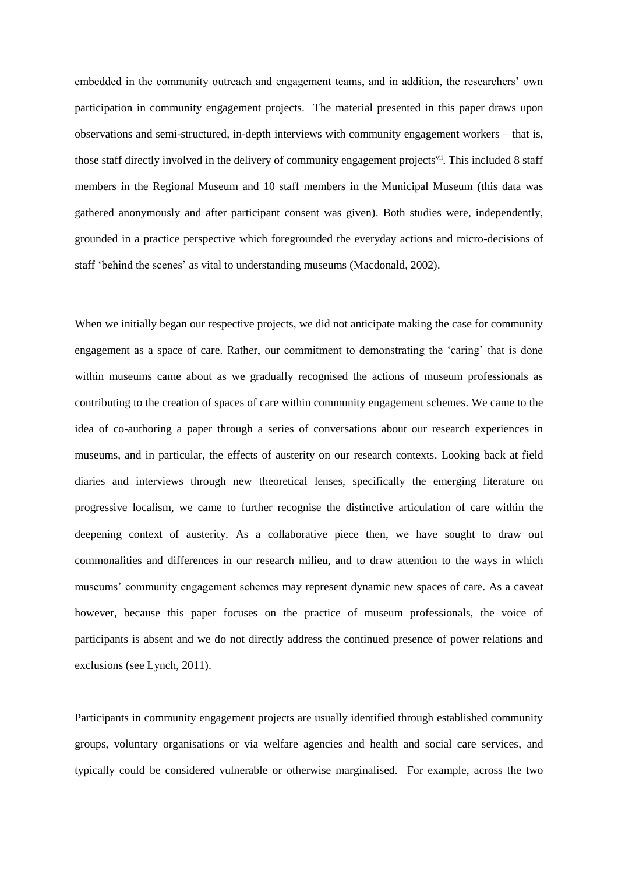embedded in the community outreach and engagement teams, and in addition, the researchers' own participation in community engagement projects. The material presented in this paper draws upon observations and semi-structured, in-depth interviews with community engagement workers – that is, those staff directly involved in the delivery of community engagement projects<sup>vii</sup>. This included 8 staff members in the Regional Museum and 10 staff members in the Municipal Museum (this data was gathered anonymously and after participant consent was given). Both studies were, independently, grounded in a practice perspective which foregrounded the everyday actions and micro-decisions of staff 'behind the scenes' as vital to understanding museums (Macdonald, 2002).

When we initially began our respective projects, we did not anticipate making the case for community engagement as a space of care. Rather, our commitment to demonstrating the 'caring' that is done within museums came about as we gradually recognised the actions of museum professionals as contributing to the creation of spaces of care within community engagement schemes. We came to the idea of co-authoring a paper through a series of conversations about our research experiences in museums, and in particular, the effects of austerity on our research contexts. Looking back at field diaries and interviews through new theoretical lenses, specifically the emerging literature on progressive localism, we came to further recognise the distinctive articulation of care within the deepening context of austerity. As a collaborative piece then, we have sought to draw out commonalities and differences in our research milieu, and to draw attention to the ways in which museums' community engagement schemes may represent dynamic new spaces of care. As a caveat however, because this paper focuses on the practice of museum professionals, the voice of participants is absent and we do not directly address the continued presence of power relations and exclusions (see Lynch, 2011).

Participants in community engagement projects are usually identified through established community groups, voluntary organisations or via welfare agencies and health and social care services, and typically could be considered vulnerable or otherwise marginalised. For example, across the two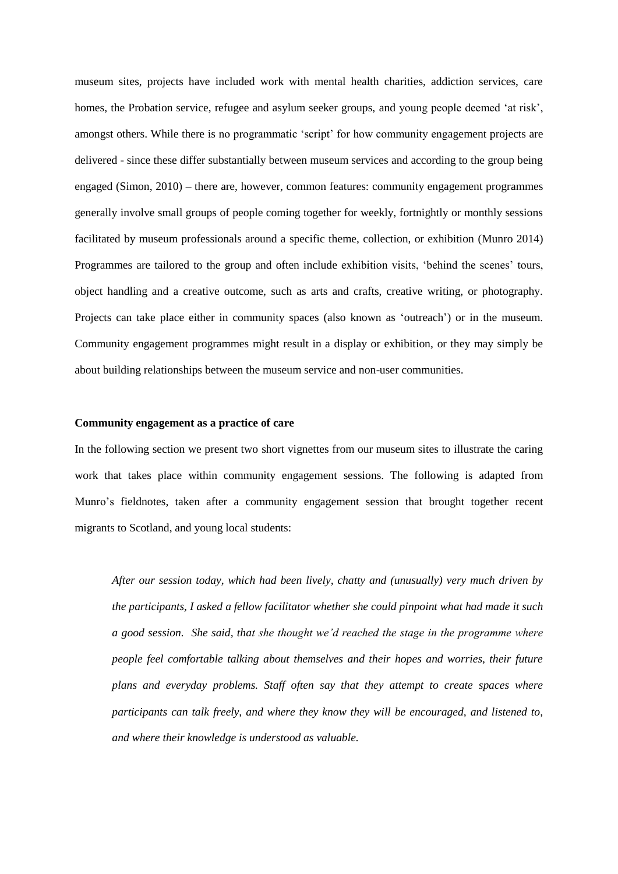museum sites, projects have included work with mental health charities, addiction services, care homes, the Probation service, refugee and asylum seeker groups, and young people deemed 'at risk', amongst others. While there is no programmatic 'script' for how community engagement projects are delivered - since these differ substantially between museum services and according to the group being engaged (Simon, 2010) – there are, however, common features: community engagement programmes generally involve small groups of people coming together for weekly, fortnightly or monthly sessions facilitated by museum professionals around a specific theme, collection, or exhibition (Munro 2014) Programmes are tailored to the group and often include exhibition visits, 'behind the scenes' tours, object handling and a creative outcome, such as arts and crafts, creative writing, or photography. Projects can take place either in community spaces (also known as 'outreach') or in the museum. Community engagement programmes might result in a display or exhibition, or they may simply be about building relationships between the museum service and non-user communities.

## **Community engagement as a practice of care**

In the following section we present two short vignettes from our museum sites to illustrate the caring work that takes place within community engagement sessions. The following is adapted from Munro's fieldnotes, taken after a community engagement session that brought together recent migrants to Scotland, and young local students:

*After our session today, which had been lively, chatty and (unusually) very much driven by the participants, I asked a fellow facilitator whether she could pinpoint what had made it such a good session. She said, that she thought we'd reached the stage in the programme where people feel comfortable talking about themselves and their hopes and worries, their future plans and everyday problems. Staff often say that they attempt to create spaces where participants can talk freely, and where they know they will be encouraged, and listened to, and where their knowledge is understood as valuable.*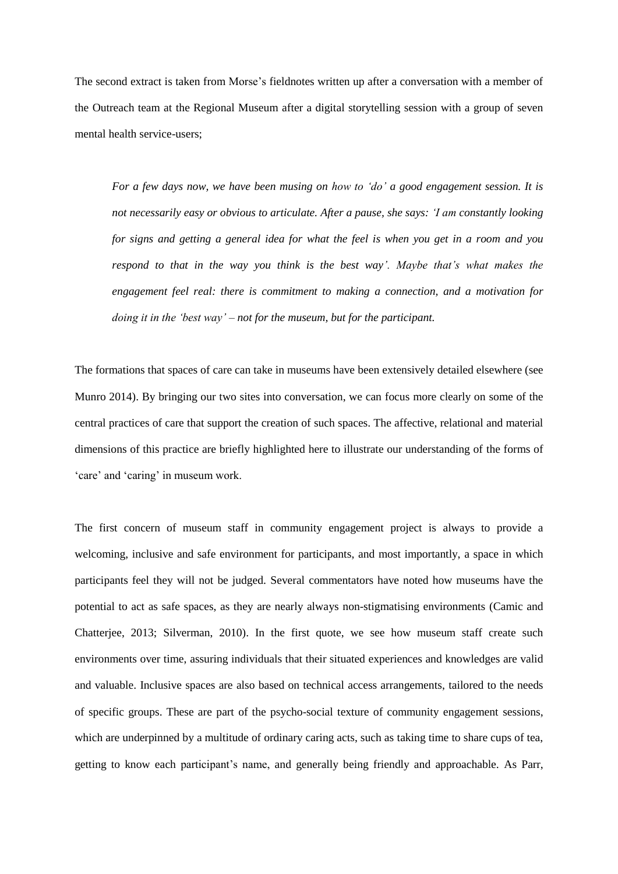The second extract is taken from Morse's fieldnotes written up after a conversation with a member of the Outreach team at the Regional Museum after a digital storytelling session with a group of seven mental health service-users;

*For a few days now, we have been musing on how to 'do' a good engagement session. It is not necessarily easy or obvious to articulate. After a pause, she says: 'I am constantly looking for signs and getting a general idea for what the feel is when you get in a room and you respond to that in the way you think is the best way'. Maybe that's what makes the engagement feel real: there is commitment to making a connection, and a motivation for doing it in the 'best way' – not for the museum, but for the participant.* 

The formations that spaces of care can take in museums have been extensively detailed elsewhere (see Munro 2014). By bringing our two sites into conversation, we can focus more clearly on some of the central practices of care that support the creation of such spaces. The affective, relational and material dimensions of this practice are briefly highlighted here to illustrate our understanding of the forms of 'care' and 'caring' in museum work.

The first concern of museum staff in community engagement project is always to provide a welcoming, inclusive and safe environment for participants, and most importantly, a space in which participants feel they will not be judged. Several commentators have noted how museums have the potential to act as safe spaces, as they are nearly always non-stigmatising environments (Camic and Chatterjee, 2013; Silverman, 2010). In the first quote, we see how museum staff create such environments over time, assuring individuals that their situated experiences and knowledges are valid and valuable. Inclusive spaces are also based on technical access arrangements, tailored to the needs of specific groups. These are part of the psycho-social texture of community engagement sessions, which are underpinned by a multitude of ordinary caring acts, such as taking time to share cups of tea, getting to know each participant's name, and generally being friendly and approachable. As Parr,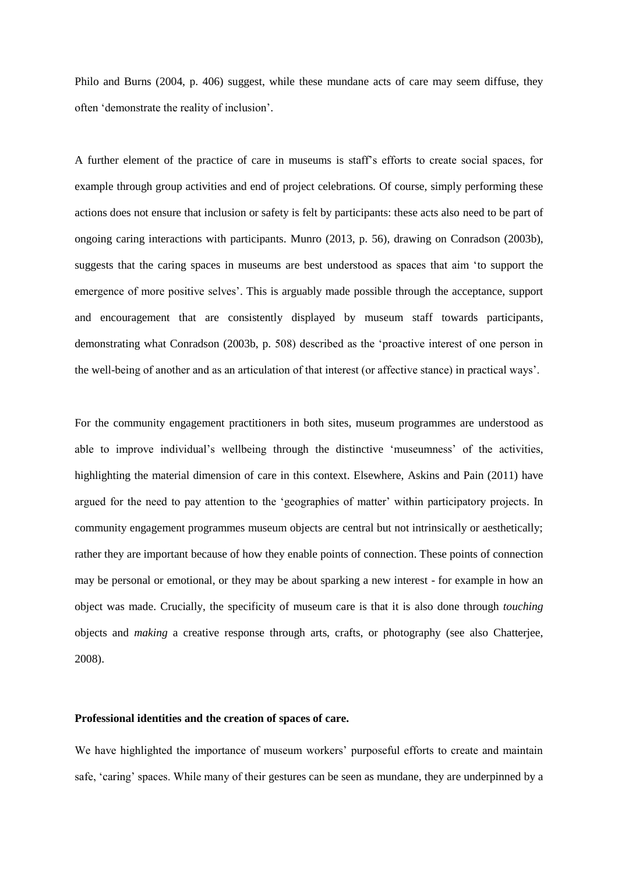Philo and Burns (2004, p. 406) suggest, while these mundane acts of care may seem diffuse, they often 'demonstrate the reality of inclusion'.

A further element of the practice of care in museums is staff's efforts to create social spaces, for example through group activities and end of project celebrations. Of course, simply performing these actions does not ensure that inclusion or safety is felt by participants: these acts also need to be part of ongoing caring interactions with participants. Munro (2013, p. 56), drawing on Conradson (2003b), suggests that the caring spaces in museums are best understood as spaces that aim 'to support the emergence of more positive selves'. This is arguably made possible through the acceptance, support and encouragement that are consistently displayed by museum staff towards participants, demonstrating what Conradson (2003b, p. 508) described as the 'proactive interest of one person in the well-being of another and as an articulation of that interest (or affective stance) in practical ways'.

For the community engagement practitioners in both sites, museum programmes are understood as able to improve individual's wellbeing through the distinctive 'museumness' of the activities, highlighting the material dimension of care in this context. Elsewhere, Askins and Pain (2011) have argued for the need to pay attention to the 'geographies of matter' within participatory projects. In community engagement programmes museum objects are central but not intrinsically or aesthetically; rather they are important because of how they enable points of connection. These points of connection may be personal or emotional, or they may be about sparking a new interest - for example in how an object was made. Crucially, the specificity of museum care is that it is also done through *touching* objects and *making* a creative response through arts, crafts, or photography (see also Chatterjee, 2008).

### **Professional identities and the creation of spaces of care.**

We have highlighted the importance of museum workers' purposeful efforts to create and maintain safe, 'caring' spaces. While many of their gestures can be seen as mundane, they are underpinned by a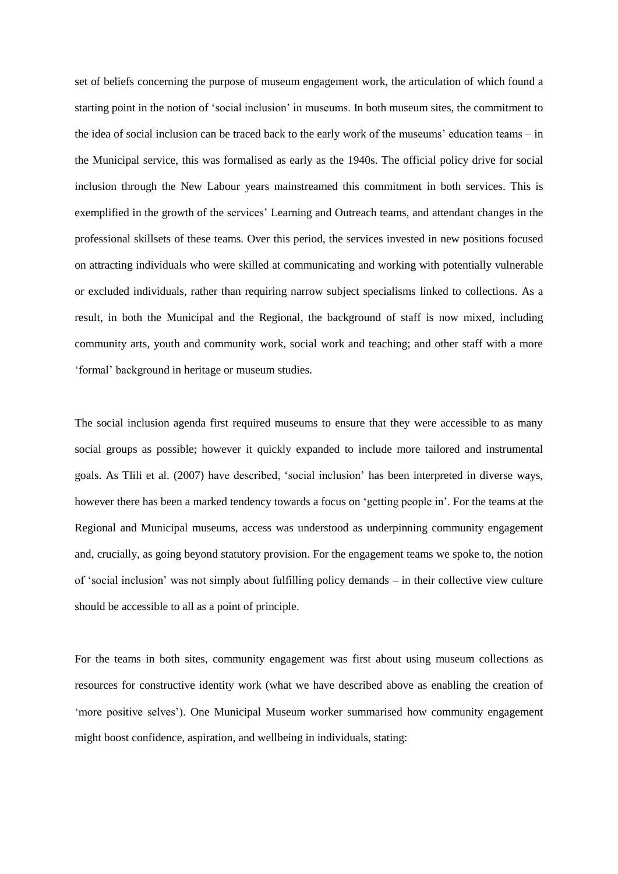set of beliefs concerning the purpose of museum engagement work, the articulation of which found a starting point in the notion of 'social inclusion' in museums. In both museum sites, the commitment to the idea of social inclusion can be traced back to the early work of the museums' education teams – in the Municipal service, this was formalised as early as the 1940s. The official policy drive for social inclusion through the New Labour years mainstreamed this commitment in both services. This is exemplified in the growth of the services' Learning and Outreach teams, and attendant changes in the professional skillsets of these teams. Over this period, the services invested in new positions focused on attracting individuals who were skilled at communicating and working with potentially vulnerable or excluded individuals, rather than requiring narrow subject specialisms linked to collections. As a result, in both the Municipal and the Regional, the background of staff is now mixed, including community arts, youth and community work, social work and teaching; and other staff with a more 'formal' background in heritage or museum studies.

The social inclusion agenda first required museums to ensure that they were accessible to as many social groups as possible; however it quickly expanded to include more tailored and instrumental goals. As Tlili et al. (2007) have described, 'social inclusion' has been interpreted in diverse ways, however there has been a marked tendency towards a focus on 'getting people in'. For the teams at the Regional and Municipal museums, access was understood as underpinning community engagement and, crucially, as going beyond statutory provision. For the engagement teams we spoke to, the notion of 'social inclusion' was not simply about fulfilling policy demands – in their collective view culture should be accessible to all as a point of principle.

For the teams in both sites, community engagement was first about using museum collections as resources for constructive identity work (what we have described above as enabling the creation of 'more positive selves'). One Municipal Museum worker summarised how community engagement might boost confidence, aspiration, and wellbeing in individuals, stating: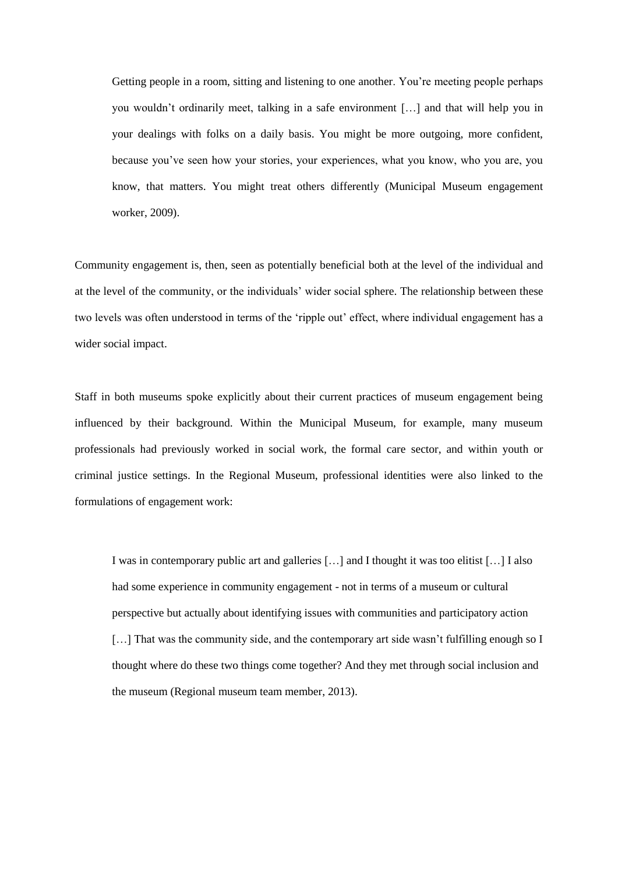Getting people in a room, sitting and listening to one another. You're meeting people perhaps you wouldn't ordinarily meet, talking in a safe environment […] and that will help you in your dealings with folks on a daily basis. You might be more outgoing, more confident, because you've seen how your stories, your experiences, what you know, who you are, you know, that matters. You might treat others differently (Municipal Museum engagement worker, 2009).

Community engagement is, then, seen as potentially beneficial both at the level of the individual and at the level of the community, or the individuals' wider social sphere. The relationship between these two levels was often understood in terms of the 'ripple out' effect, where individual engagement has a wider social impact.

Staff in both museums spoke explicitly about their current practices of museum engagement being influenced by their background. Within the Municipal Museum, for example, many museum professionals had previously worked in social work, the formal care sector, and within youth or criminal justice settings. In the Regional Museum, professional identities were also linked to the formulations of engagement work:

I was in contemporary public art and galleries […] and I thought it was too elitist […] I also had some experience in community engagement - not in terms of a museum or cultural perspective but actually about identifying issues with communities and participatory action [...] That was the community side, and the contemporary art side wasn't fulfilling enough so I thought where do these two things come together? And they met through social inclusion and the museum (Regional museum team member, 2013).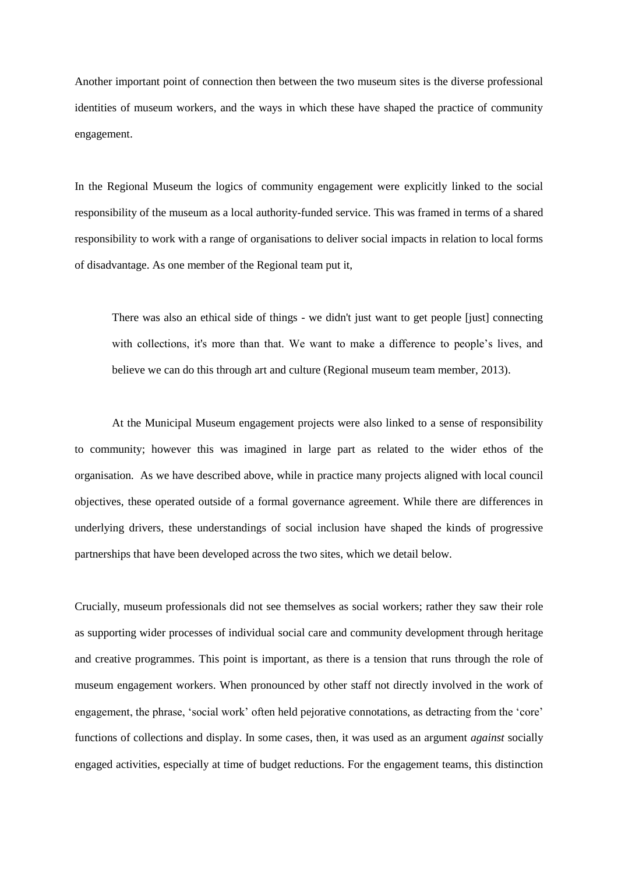Another important point of connection then between the two museum sites is the diverse professional identities of museum workers, and the ways in which these have shaped the practice of community engagement.

In the Regional Museum the logics of community engagement were explicitly linked to the social responsibility of the museum as a local authority-funded service. This was framed in terms of a shared responsibility to work with a range of organisations to deliver social impacts in relation to local forms of disadvantage. As one member of the Regional team put it,

There was also an ethical side of things - we didn't just want to get people [just] connecting with collections, it's more than that. We want to make a difference to people's lives, and believe we can do this through art and culture (Regional museum team member, 2013).

At the Municipal Museum engagement projects were also linked to a sense of responsibility to community; however this was imagined in large part as related to the wider ethos of the organisation*.* As we have described above, while in practice many projects aligned with local council objectives, these operated outside of a formal governance agreement. While there are differences in underlying drivers, these understandings of social inclusion have shaped the kinds of progressive partnerships that have been developed across the two sites, which we detail below.

Crucially, museum professionals did not see themselves as social workers; rather they saw their role as supporting wider processes of individual social care and community development through heritage and creative programmes. This point is important, as there is a tension that runs through the role of museum engagement workers. When pronounced by other staff not directly involved in the work of engagement, the phrase, 'social work' often held pejorative connotations, as detracting from the 'core' functions of collections and display. In some cases, then, it was used as an argument *against* socially engaged activities, especially at time of budget reductions. For the engagement teams, this distinction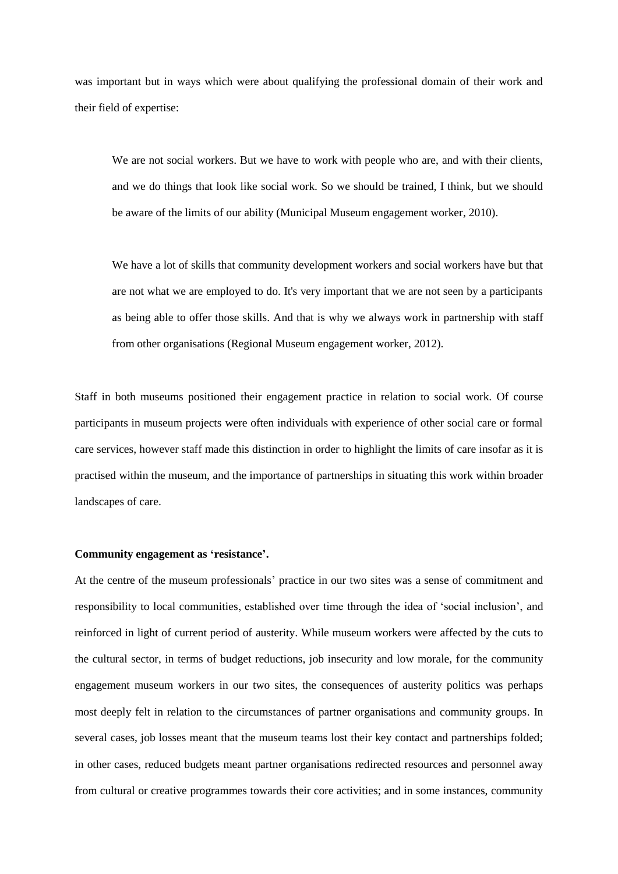was important but in ways which were about qualifying the professional domain of their work and their field of expertise:

We are not social workers. But we have to work with people who are, and with their clients, and we do things that look like social work. So we should be trained, I think, but we should be aware of the limits of our ability (Municipal Museum engagement worker, 2010).

We have a lot of skills that community development workers and social workers have but that are not what we are employed to do. It's very important that we are not seen by a participants as being able to offer those skills. And that is why we always work in partnership with staff from other organisations (Regional Museum engagement worker, 2012).

Staff in both museums positioned their engagement practice in relation to social work. Of course participants in museum projects were often individuals with experience of other social care or formal care services, however staff made this distinction in order to highlight the limits of care insofar as it is practised within the museum, and the importance of partnerships in situating this work within broader landscapes of care.

# **Community engagement as 'resistance'.**

At the centre of the museum professionals' practice in our two sites was a sense of commitment and responsibility to local communities, established over time through the idea of 'social inclusion', and reinforced in light of current period of austerity. While museum workers were affected by the cuts to the cultural sector, in terms of budget reductions, job insecurity and low morale, for the community engagement museum workers in our two sites, the consequences of austerity politics was perhaps most deeply felt in relation to the circumstances of partner organisations and community groups. In several cases, job losses meant that the museum teams lost their key contact and partnerships folded; in other cases, reduced budgets meant partner organisations redirected resources and personnel away from cultural or creative programmes towards their core activities; and in some instances, community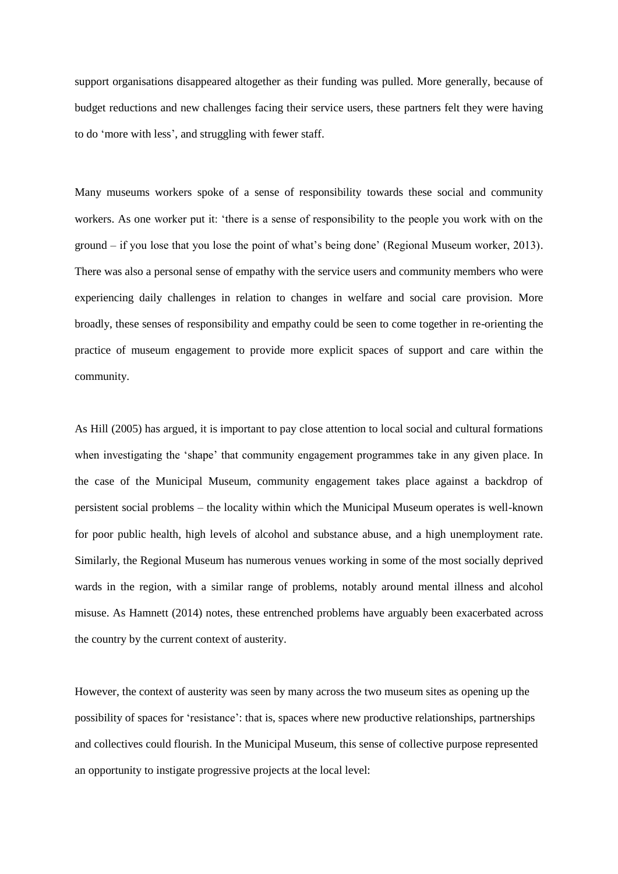support organisations disappeared altogether as their funding was pulled. More generally, because of budget reductions and new challenges facing their service users, these partners felt they were having to do 'more with less', and struggling with fewer staff.

Many museums workers spoke of a sense of responsibility towards these social and community workers. As one worker put it: 'there is a sense of responsibility to the people you work with on the ground – if you lose that you lose the point of what's being done' (Regional Museum worker, 2013). There was also a personal sense of empathy with the service users and community members who were experiencing daily challenges in relation to changes in welfare and social care provision. More broadly, these senses of responsibility and empathy could be seen to come together in re-orienting the practice of museum engagement to provide more explicit spaces of support and care within the community.

As Hill (2005) has argued, it is important to pay close attention to local social and cultural formations when investigating the 'shape' that community engagement programmes take in any given place. In the case of the Municipal Museum, community engagement takes place against a backdrop of persistent social problems – the locality within which the Municipal Museum operates is well-known for poor public health, high levels of alcohol and substance abuse, and a high unemployment rate. Similarly, the Regional Museum has numerous venues working in some of the most socially deprived wards in the region, with a similar range of problems, notably around mental illness and alcohol misuse. As Hamnett (2014) notes, these entrenched problems have arguably been exacerbated across the country by the current context of austerity.

However, the context of austerity was seen by many across the two museum sites as opening up the possibility of spaces for 'resistance': that is, spaces where new productive relationships, partnerships and collectives could flourish. In the Municipal Museum, this sense of collective purpose represented an opportunity to instigate progressive projects at the local level: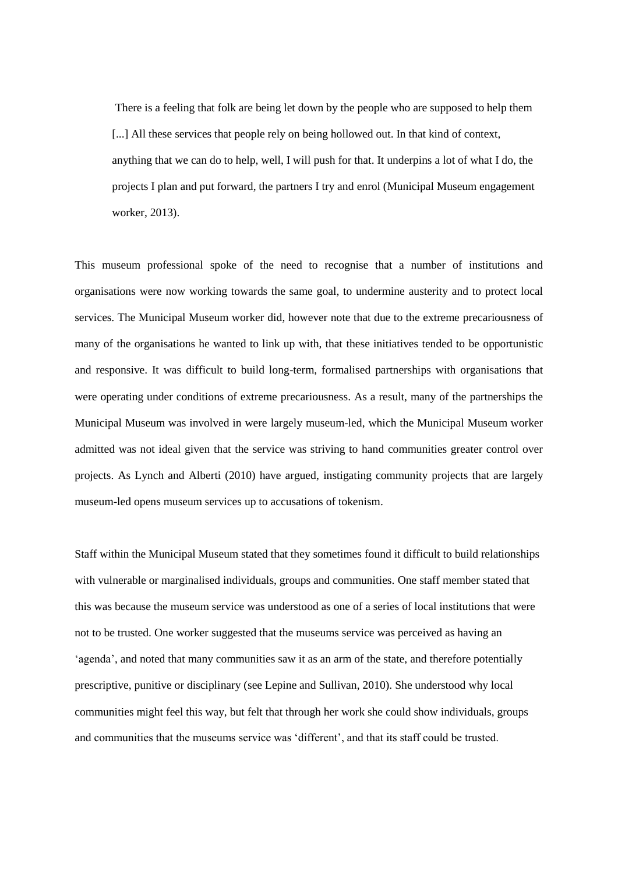There is a feeling that folk are being let down by the people who are supposed to help them [...] All these services that people rely on being hollowed out. In that kind of context, anything that we can do to help, well, I will push for that. It underpins a lot of what I do, the projects I plan and put forward, the partners I try and enrol (Municipal Museum engagement worker, 2013).

This museum professional spoke of the need to recognise that a number of institutions and organisations were now working towards the same goal, to undermine austerity and to protect local services. The Municipal Museum worker did, however note that due to the extreme precariousness of many of the organisations he wanted to link up with, that these initiatives tended to be opportunistic and responsive. It was difficult to build long-term, formalised partnerships with organisations that were operating under conditions of extreme precariousness. As a result, many of the partnerships the Municipal Museum was involved in were largely museum-led, which the Municipal Museum worker admitted was not ideal given that the service was striving to hand communities greater control over projects. As Lynch and Alberti (2010) have argued, instigating community projects that are largely museum-led opens museum services up to accusations of tokenism.

Staff within the Municipal Museum stated that they sometimes found it difficult to build relationships with vulnerable or marginalised individuals, groups and communities. One staff member stated that this was because the museum service was understood as one of a series of local institutions that were not to be trusted. One worker suggested that the museums service was perceived as having an 'agenda', and noted that many communities saw it as an arm of the state, and therefore potentially prescriptive, punitive or disciplinary (see Lepine and Sullivan, 2010). She understood why local communities might feel this way, but felt that through her work she could show individuals, groups and communities that the museums service was 'different', and that its staff could be trusted.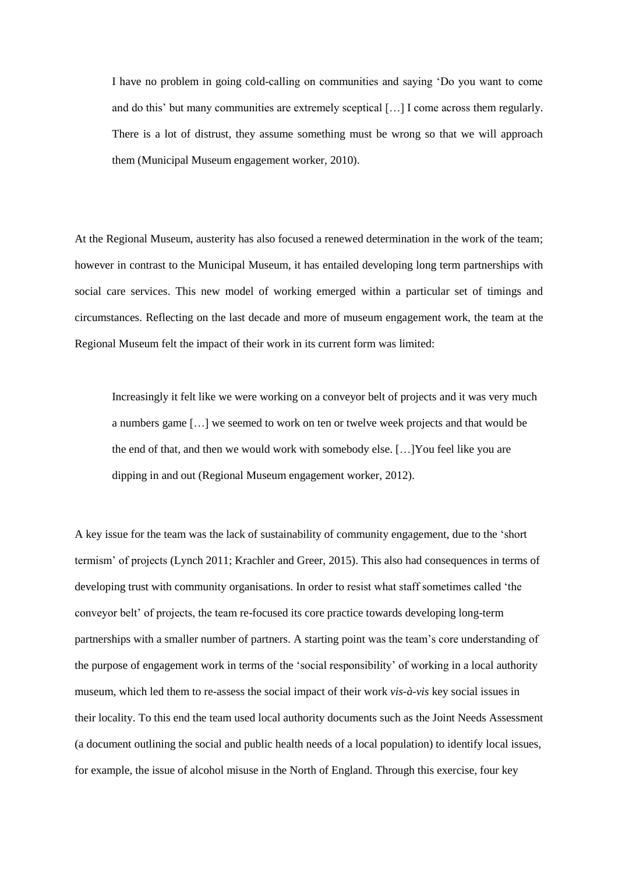I have no problem in going cold-calling on communities and saying 'Do you want to come and do this' but many communities are extremely sceptical […] I come across them regularly. There is a lot of distrust, they assume something must be wrong so that we will approach them (Municipal Museum engagement worker, 2010).

At the Regional Museum, austerity has also focused a renewed determination in the work of the team; however in contrast to the Municipal Museum, it has entailed developing long term partnerships with social care services. This new model of working emerged within a particular set of timings and circumstances. Reflecting on the last decade and more of museum engagement work, the team at the Regional Museum felt the impact of their work in its current form was limited:

Increasingly it felt like we were working on a conveyor belt of projects and it was very much a numbers game […] we seemed to work on ten or twelve week projects and that would be the end of that, and then we would work with somebody else. […]You feel like you are dipping in and out (Regional Museum engagement worker, 2012).

A key issue for the team was the lack of sustainability of community engagement, due to the 'short termism' of projects (Lynch 2011; Krachler and Greer, 2015). This also had consequences in terms of developing trust with community organisations. In order to resist what staff sometimes called 'the conveyor belt' of projects, the team re-focused its core practice towards developing long-term partnerships with a smaller number of partners. A starting point was the team's core understanding of the purpose of engagement work in terms of the 'social responsibility' of working in a local authority museum, which led them to re-assess the social impact of their work *vis-à-vis* key social issues in their locality. To this end the team used local authority documents such as the Joint Needs Assessment (a document outlining the social and public health needs of a local population) to identify local issues, for example, the issue of alcohol misuse in the North of England. Through this exercise, four key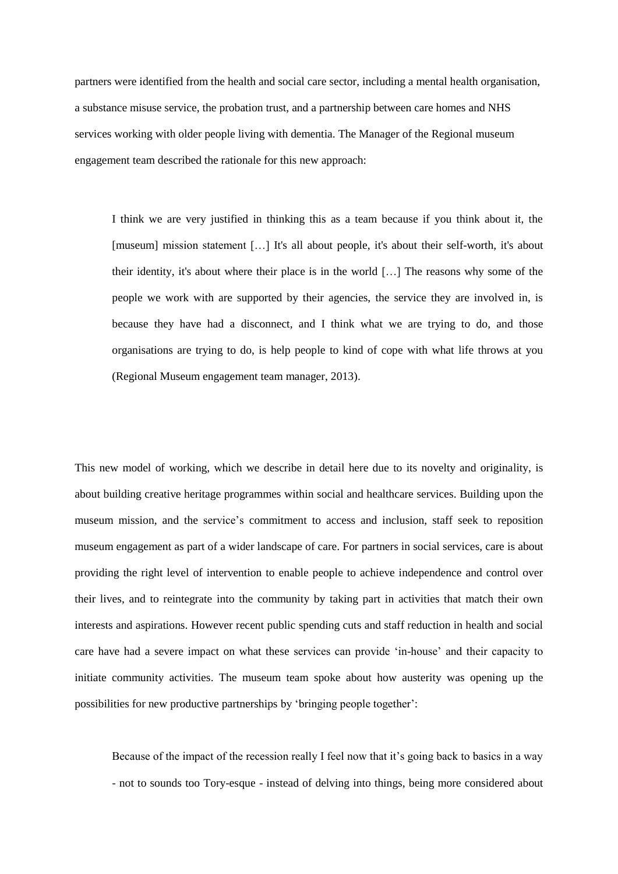partners were identified from the health and social care sector, including a mental health organisation, a substance misuse service, the probation trust, and a partnership between care homes and NHS services working with older people living with dementia. The Manager of the Regional museum engagement team described the rationale for this new approach:

I think we are very justified in thinking this as a team because if you think about it, the [museum] mission statement [...] It's all about people, it's about their self-worth, it's about their identity, it's about where their place is in the world […] The reasons why some of the people we work with are supported by their agencies, the service they are involved in, is because they have had a disconnect, and I think what we are trying to do, and those organisations are trying to do, is help people to kind of cope with what life throws at you (Regional Museum engagement team manager, 2013).

This new model of working, which we describe in detail here due to its novelty and originality, is about building creative heritage programmes within social and healthcare services. Building upon the museum mission, and the service's commitment to access and inclusion, staff seek to reposition museum engagement as part of a wider landscape of care. For partners in social services, care is about providing the right level of intervention to enable people to achieve independence and control over their lives, and to reintegrate into the community by taking part in activities that match their own interests and aspirations. However recent public spending cuts and staff reduction in health and social care have had a severe impact on what these services can provide 'in-house' and their capacity to initiate community activities. The museum team spoke about how austerity was opening up the possibilities for new productive partnerships by 'bringing people together':

Because of the impact of the recession really I feel now that it's going back to basics in a way - not to sounds too Tory-esque - instead of delving into things, being more considered about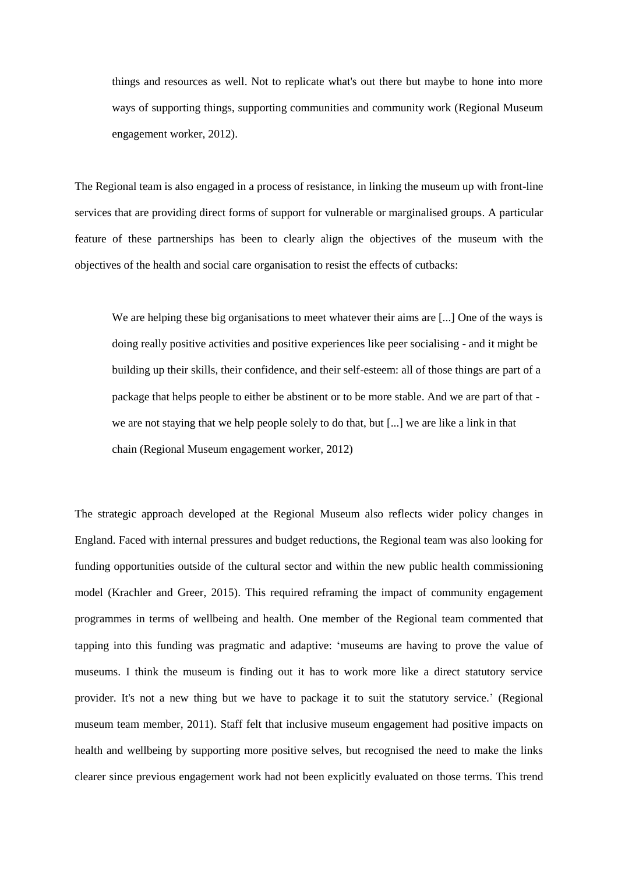things and resources as well. Not to replicate what's out there but maybe to hone into more ways of supporting things, supporting communities and community work (Regional Museum engagement worker, 2012).

The Regional team is also engaged in a process of resistance, in linking the museum up with front-line services that are providing direct forms of support for vulnerable or marginalised groups. A particular feature of these partnerships has been to clearly align the objectives of the museum with the objectives of the health and social care organisation to resist the effects of cutbacks:

We are helping these big organisations to meet whatever their aims are [...] One of the ways is doing really positive activities and positive experiences like peer socialising - and it might be building up their skills, their confidence, and their self-esteem: all of those things are part of a package that helps people to either be abstinent or to be more stable. And we are part of that we are not staying that we help people solely to do that, but [...] we are like a link in that chain (Regional Museum engagement worker, 2012)

The strategic approach developed at the Regional Museum also reflects wider policy changes in England. Faced with internal pressures and budget reductions, the Regional team was also looking for funding opportunities outside of the cultural sector and within the new public health commissioning model (Krachler and Greer, 2015). This required reframing the impact of community engagement programmes in terms of wellbeing and health. One member of the Regional team commented that tapping into this funding was pragmatic and adaptive: 'museums are having to prove the value of museums. I think the museum is finding out it has to work more like a direct statutory service provider. It's not a new thing but we have to package it to suit the statutory service.' (Regional museum team member, 2011). Staff felt that inclusive museum engagement had positive impacts on health and wellbeing by supporting more positive selves, but recognised the need to make the links clearer since previous engagement work had not been explicitly evaluated on those terms. This trend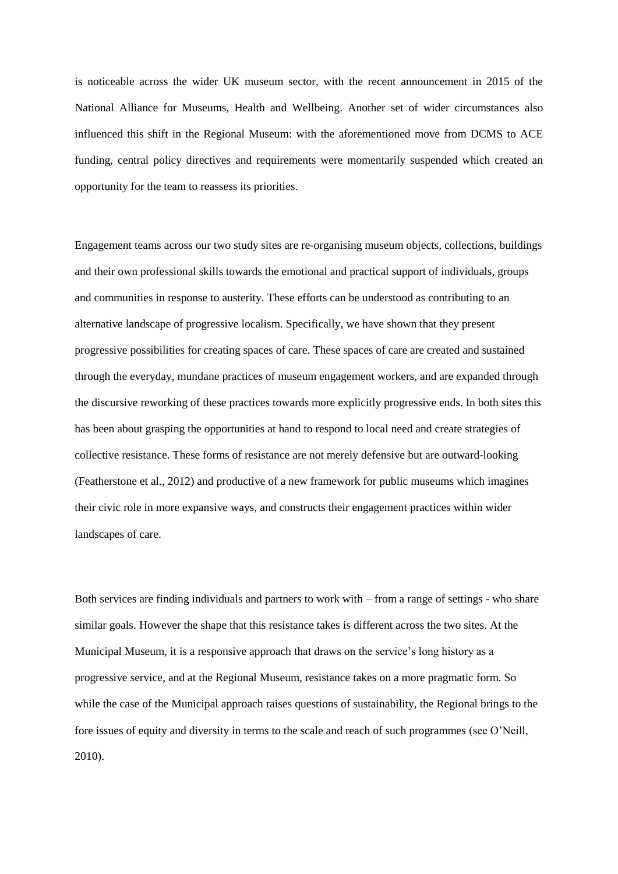is noticeable across the wider UK museum sector, with the recent announcement in 2015 of the National Alliance for Museums, Health and Wellbeing. Another set of wider circumstances also influenced this shift in the Regional Museum: with the aforementioned move from DCMS to ACE funding, central policy directives and requirements were momentarily suspended which created an opportunity for the team to reassess its priorities.

Engagement teams across our two study sites are re-organising museum objects, collections, buildings and their own professional skills towards the emotional and practical support of individuals, groups and communities in response to austerity. These efforts can be understood as contributing to an alternative landscape of progressive localism. Specifically, we have shown that they present progressive possibilities for creating spaces of care. These spaces of care are created and sustained through the everyday, mundane practices of museum engagement workers, and are expanded through the discursive reworking of these practices towards more explicitly progressive ends. In both sites this has been about grasping the opportunities at hand to respond to local need and create strategies of collective resistance. These forms of resistance are not merely defensive but are outward-looking (Featherstone et al., 2012) and productive of a new framework for public museums which imagines their civic role in more expansive ways, and constructs their engagement practices within wider landscapes of care.

Both services are finding individuals and partners to work with – from a range of settings - who share similar goals. However the shape that this resistance takes is different across the two sites. At the Municipal Museum, it is a responsive approach that draws on the service's long history as a progressive service, and at the Regional Museum, resistance takes on a more pragmatic form. So while the case of the Municipal approach raises questions of sustainability, the Regional brings to the fore issues of equity and diversity in terms to the scale and reach of such programmes (see O'Neill, 2010).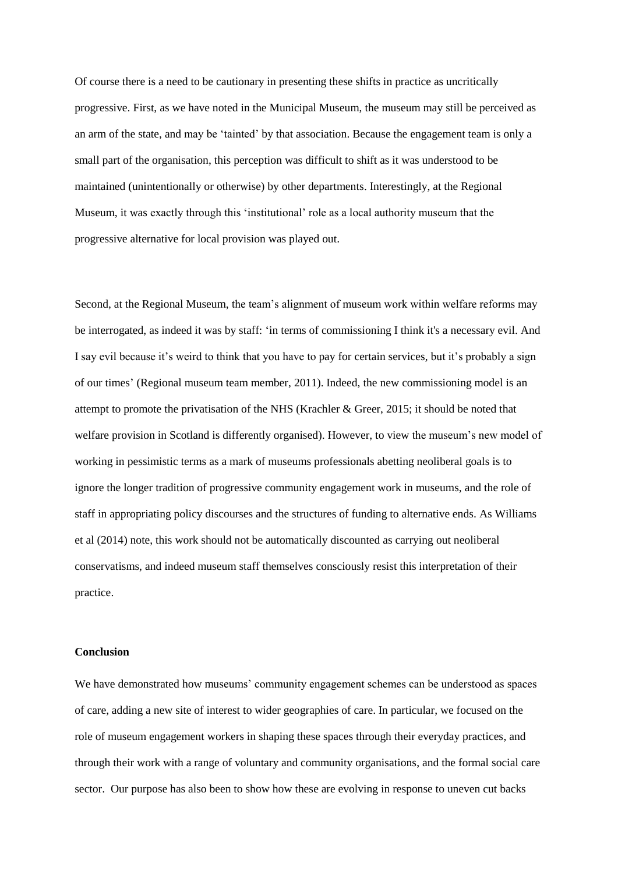Of course there is a need to be cautionary in presenting these shifts in practice as uncritically progressive. First, as we have noted in the Municipal Museum, the museum may still be perceived as an arm of the state, and may be 'tainted' by that association. Because the engagement team is only a small part of the organisation, this perception was difficult to shift as it was understood to be maintained (unintentionally or otherwise) by other departments. Interestingly, at the Regional Museum, it was exactly through this 'institutional' role as a local authority museum that the progressive alternative for local provision was played out.

Second, at the Regional Museum, the team's alignment of museum work within welfare reforms may be interrogated, as indeed it was by staff: 'in terms of commissioning I think it's a necessary evil. And I say evil because it's weird to think that you have to pay for certain services, but it's probably a sign of our times' (Regional museum team member, 2011). Indeed, the new commissioning model is an attempt to promote the privatisation of the NHS (Krachler & Greer, 2015; it should be noted that welfare provision in Scotland is differently organised). However, to view the museum's new model of working in pessimistic terms as a mark of museums professionals abetting neoliberal goals is to ignore the longer tradition of progressive community engagement work in museums, and the role of staff in appropriating policy discourses and the structures of funding to alternative ends. As Williams et al (2014) note, this work should not be automatically discounted as carrying out neoliberal conservatisms, and indeed museum staff themselves consciously resist this interpretation of their practice.

#### **Conclusion**

We have demonstrated how museums' community engagement schemes can be understood as spaces of care, adding a new site of interest to wider geographies of care. In particular, we focused on the role of museum engagement workers in shaping these spaces through their everyday practices, and through their work with a range of voluntary and community organisations, and the formal social care sector. Our purpose has also been to show how these are evolving in response to uneven cut backs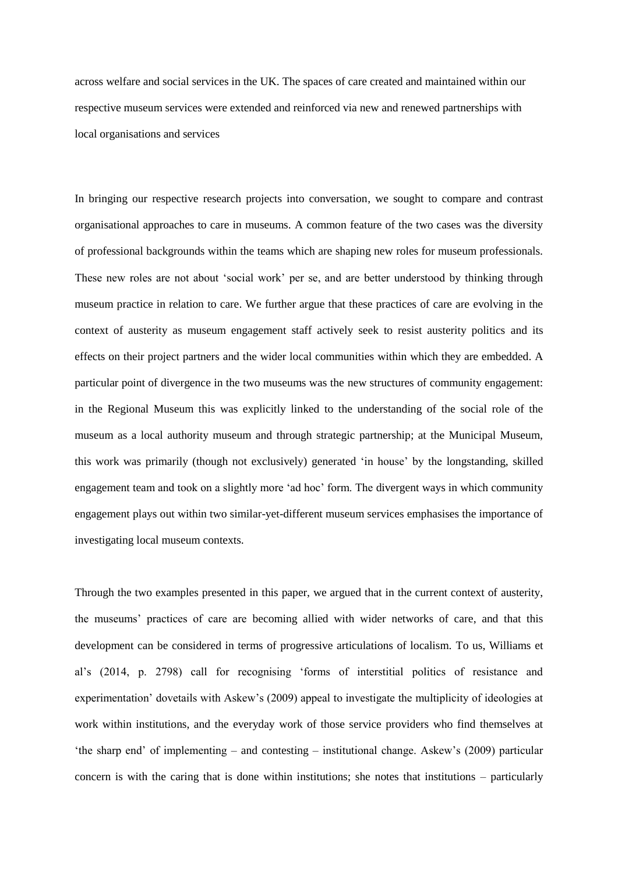across welfare and social services in the UK. The spaces of care created and maintained within our respective museum services were extended and reinforced via new and renewed partnerships with local organisations and services

In bringing our respective research projects into conversation, we sought to compare and contrast organisational approaches to care in museums. A common feature of the two cases was the diversity of professional backgrounds within the teams which are shaping new roles for museum professionals. These new roles are not about 'social work' per se, and are better understood by thinking through museum practice in relation to care. We further argue that these practices of care are evolving in the context of austerity as museum engagement staff actively seek to resist austerity politics and its effects on their project partners and the wider local communities within which they are embedded. A particular point of divergence in the two museums was the new structures of community engagement: in the Regional Museum this was explicitly linked to the understanding of the social role of the museum as a local authority museum and through strategic partnership; at the Municipal Museum, this work was primarily (though not exclusively) generated 'in house' by the longstanding, skilled engagement team and took on a slightly more 'ad hoc' form. The divergent ways in which community engagement plays out within two similar-yet-different museum services emphasises the importance of investigating local museum contexts.

Through the two examples presented in this paper, we argued that in the current context of austerity, the museums' practices of care are becoming allied with wider networks of care, and that this development can be considered in terms of progressive articulations of localism. To us, Williams et al's (2014, p. 2798) call for recognising 'forms of interstitial politics of resistance and experimentation' dovetails with Askew's (2009) appeal to investigate the multiplicity of ideologies at work within institutions, and the everyday work of those service providers who find themselves at 'the sharp end' of implementing – and contesting – institutional change. Askew's (2009) particular concern is with the caring that is done within institutions; she notes that institutions – particularly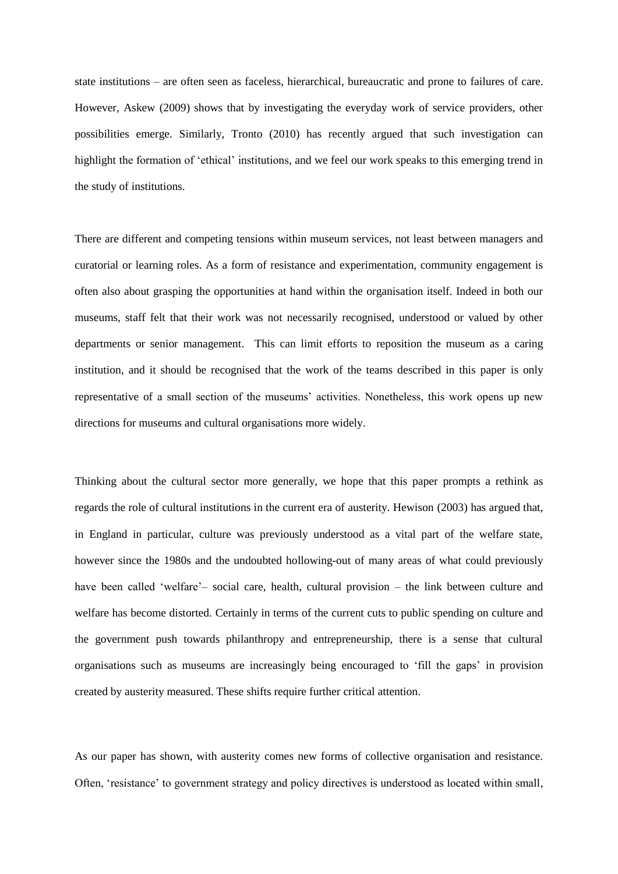state institutions – are often seen as faceless, hierarchical, bureaucratic and prone to failures of care. However, Askew (2009) shows that by investigating the everyday work of service providers, other possibilities emerge. Similarly, Tronto (2010) has recently argued that such investigation can highlight the formation of 'ethical' institutions, and we feel our work speaks to this emerging trend in the study of institutions.

There are different and competing tensions within museum services, not least between managers and curatorial or learning roles. As a form of resistance and experimentation, community engagement is often also about grasping the opportunities at hand within the organisation itself. Indeed in both our museums, staff felt that their work was not necessarily recognised, understood or valued by other departments or senior management. This can limit efforts to reposition the museum as a caring institution, and it should be recognised that the work of the teams described in this paper is only representative of a small section of the museums' activities. Nonetheless, this work opens up new directions for museums and cultural organisations more widely.

Thinking about the cultural sector more generally, we hope that this paper prompts a rethink as regards the role of cultural institutions in the current era of austerity. Hewison (2003) has argued that, in England in particular, culture was previously understood as a vital part of the welfare state, however since the 1980s and the undoubted hollowing-out of many areas of what could previously have been called 'welfare'– social care, health, cultural provision – the link between culture and welfare has become distorted. Certainly in terms of the current cuts to public spending on culture and the government push towards philanthropy and entrepreneurship, there is a sense that cultural organisations such as museums are increasingly being encouraged to 'fill the gaps' in provision created by austerity measured. These shifts require further critical attention.

As our paper has shown, with austerity comes new forms of collective organisation and resistance. Often, 'resistance' to government strategy and policy directives is understood as located within small,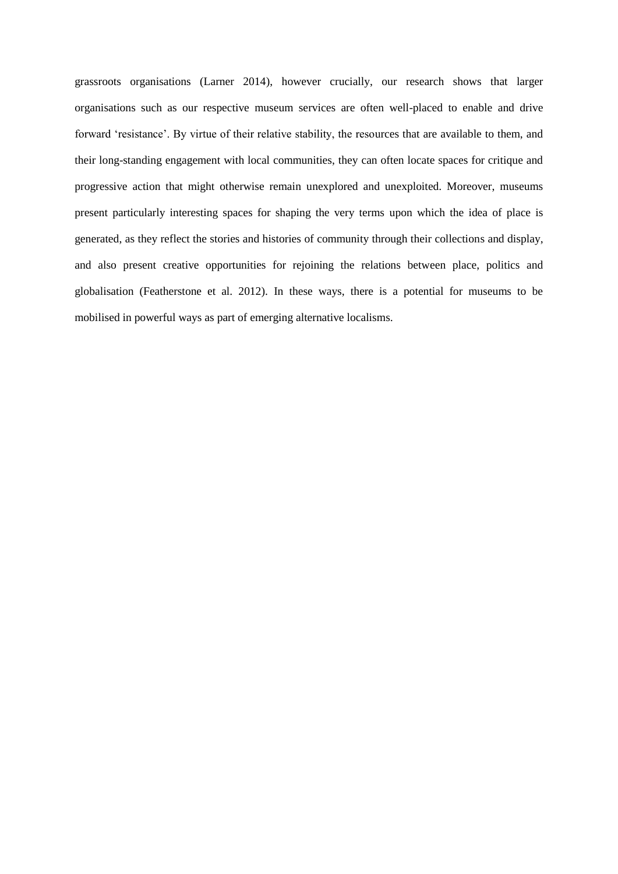grassroots organisations (Larner 2014), however crucially, our research shows that larger organisations such as our respective museum services are often well-placed to enable and drive forward 'resistance'. By virtue of their relative stability, the resources that are available to them, and their long-standing engagement with local communities, they can often locate spaces for critique and progressive action that might otherwise remain unexplored and unexploited. Moreover, museums present particularly interesting spaces for shaping the very terms upon which the idea of place is generated, as they reflect the stories and histories of community through their collections and display, and also present creative opportunities for rejoining the relations between place, politics and globalisation (Featherstone et al. 2012). In these ways, there is a potential for museums to be mobilised in powerful ways as part of emerging alternative localisms.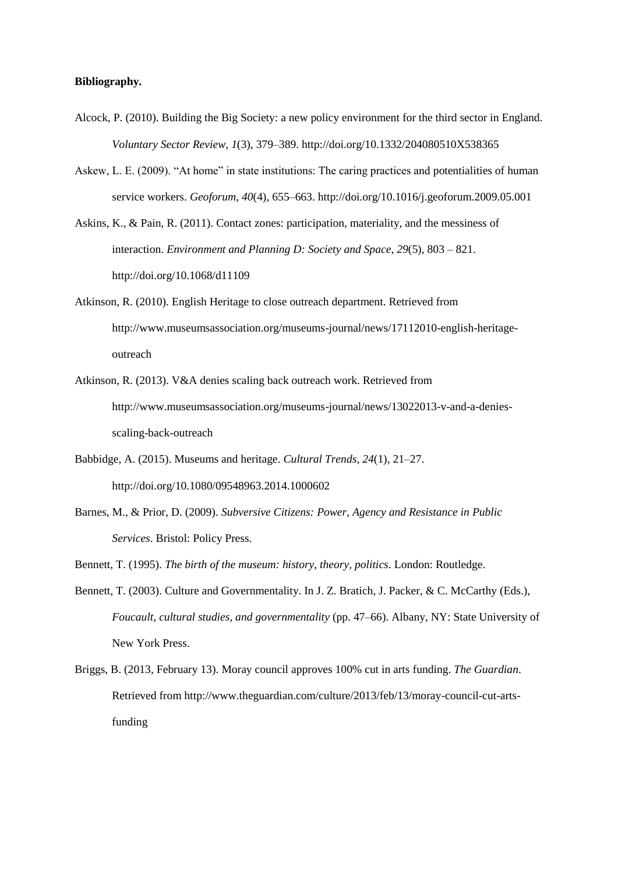### **Bibliography.**

- Alcock, P. (2010). Building the Big Society: a new policy environment for the third sector in England. *Voluntary Sector Review*, *1*(3), 379–389. http://doi.org/10.1332/204080510X538365
- Askew, L. E. (2009). "At home" in state institutions: The caring practices and potentialities of human service workers. *Geoforum*, *40*(4), 655–663. http://doi.org/10.1016/j.geoforum.2009.05.001
- Askins, K., & Pain, R. (2011). Contact zones: participation, materiality, and the messiness of interaction. *Environment and Planning D: Society and Space*, *29*(5), 803 – 821. http://doi.org/10.1068/d11109
- Atkinson, R. (2010). English Heritage to close outreach department. Retrieved from http://www.museumsassociation.org/museums-journal/news/17112010-english-heritageoutreach
- Atkinson, R. (2013). V&A denies scaling back outreach work. Retrieved from http://www.museumsassociation.org/museums-journal/news/13022013-v-and-a-deniesscaling-back-outreach
- Babbidge, A. (2015). Museums and heritage. *Cultural Trends*, *24*(1), 21–27. http://doi.org/10.1080/09548963.2014.1000602
- Barnes, M., & Prior, D. (2009). *Subversive Citizens: Power, Agency and Resistance in Public Services*. Bristol: Policy Press.

Bennett, T. (1995). *The birth of the museum: history, theory, politics*. London: Routledge.

- Bennett, T. (2003). Culture and Governmentality. In J. Z. Bratich, J. Packer, & C. McCarthy (Eds.), *Foucault, cultural studies, and governmentality* (pp. 47–66). Albany, NY: State University of New York Press.
- Briggs, B. (2013, February 13). Moray council approves 100% cut in arts funding. *The Guardian*. Retrieved from http://www.theguardian.com/culture/2013/feb/13/moray-council-cut-artsfunding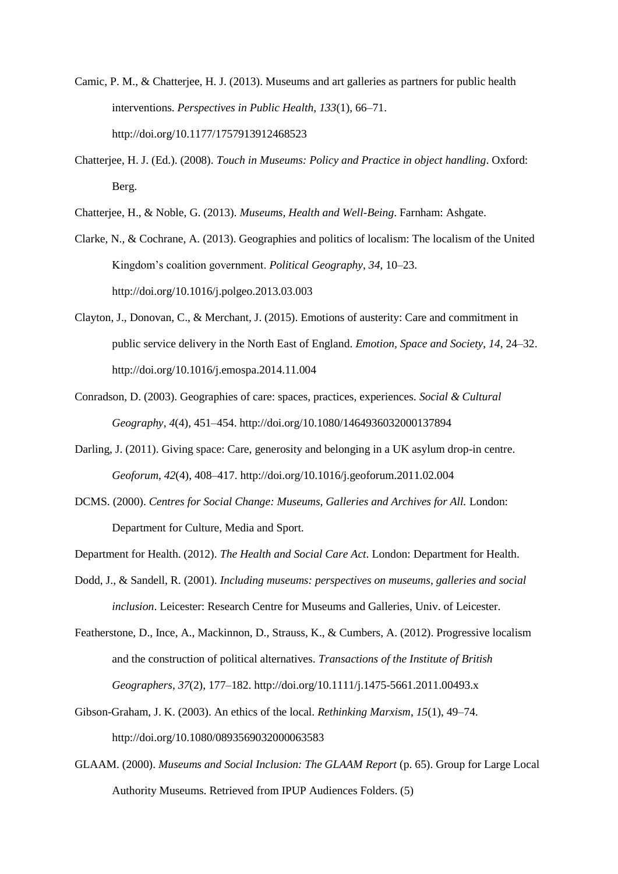- Camic, P. M., & Chatterjee, H. J. (2013). Museums and art galleries as partners for public health interventions. *Perspectives in Public Health*, *133*(1), 66–71. http://doi.org/10.1177/1757913912468523
- Chatterjee, H. J. (Ed.). (2008). *Touch in Museums: Policy and Practice in object handling*. Oxford: Berg.
- Chatterjee, H., & Noble, G. (2013). *Museums, Health and Well-Being*. Farnham: Ashgate.
- Clarke, N., & Cochrane, A. (2013). Geographies and politics of localism: The localism of the United Kingdom's coalition government. *Political Geography*, *34*, 10–23. http://doi.org/10.1016/j.polgeo.2013.03.003
- Clayton, J., Donovan, C., & Merchant, J. (2015). Emotions of austerity: Care and commitment in public service delivery in the North East of England. *Emotion, Space and Society*, *14*, 24–32. http://doi.org/10.1016/j.emospa.2014.11.004
- Conradson, D. (2003). Geographies of care: spaces, practices, experiences. *Social & Cultural Geography*, *4*(4), 451–454. http://doi.org/10.1080/1464936032000137894
- Darling, J. (2011). Giving space: Care, generosity and belonging in a UK asylum drop-in centre. *Geoforum*, *42*(4), 408–417. http://doi.org/10.1016/j.geoforum.2011.02.004
- DCMS. (2000). *Centres for Social Change: Museums, Galleries and Archives for All.* London: Department for Culture, Media and Sport.
- Department for Health. (2012). *The Health and Social Care Act*. London: Department for Health.
- Dodd, J., & Sandell, R. (2001). *Including museums: perspectives on museums, galleries and social inclusion*. Leicester: Research Centre for Museums and Galleries, Univ. of Leicester.
- Featherstone, D., Ince, A., Mackinnon, D., Strauss, K., & Cumbers, A. (2012). Progressive localism and the construction of political alternatives. *Transactions of the Institute of British Geographers*, *37*(2), 177–182. http://doi.org/10.1111/j.1475-5661.2011.00493.x
- Gibson-Graham, J. K. (2003). An ethics of the local. *Rethinking Marxism*, *15*(1), 49–74. http://doi.org/10.1080/0893569032000063583
- GLAAM. (2000). *Museums and Social Inclusion: The GLAAM Report* (p. 65). Group for Large Local Authority Museums. Retrieved from IPUP Audiences Folders. (5)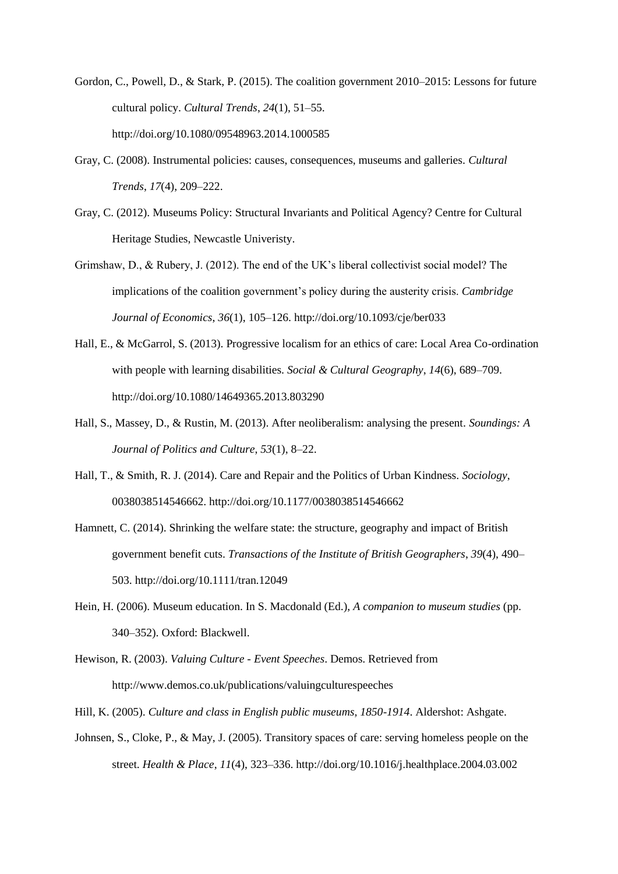- Gordon, C., Powell, D., & Stark, P. (2015). The coalition government 2010–2015: Lessons for future cultural policy. *Cultural Trends*, *24*(1), 51–55. http://doi.org/10.1080/09548963.2014.1000585
- Gray, C. (2008). Instrumental policies: causes, consequences, museums and galleries. *Cultural Trends*, *17*(4), 209–222.
- Gray, C. (2012). Museums Policy: Structural Invariants and Political Agency? Centre for Cultural Heritage Studies, Newcastle Univeristy.
- Grimshaw, D., & Rubery, J. (2012). The end of the UK's liberal collectivist social model? The implications of the coalition government's policy during the austerity crisis. *Cambridge Journal of Economics*, *36*(1), 105–126. http://doi.org/10.1093/cje/ber033
- Hall, E., & McGarrol, S. (2013). Progressive localism for an ethics of care: Local Area Co-ordination with people with learning disabilities. *Social & Cultural Geography*, *14*(6), 689–709. http://doi.org/10.1080/14649365.2013.803290
- Hall, S., Massey, D., & Rustin, M. (2013). After neoliberalism: analysing the present. *Soundings: A Journal of Politics and Culture*, *53*(1), 8–22.
- Hall, T., & Smith, R. J. (2014). Care and Repair and the Politics of Urban Kindness. *Sociology*, 0038038514546662. http://doi.org/10.1177/0038038514546662
- Hamnett, C. (2014). Shrinking the welfare state: the structure, geography and impact of British government benefit cuts. *Transactions of the Institute of British Geographers*, *39*(4), 490– 503. http://doi.org/10.1111/tran.12049
- Hein, H. (2006). Museum education. In S. Macdonald (Ed.), *A companion to museum studies* (pp. 340–352). Oxford: Blackwell.
- Hewison, R. (2003). *Valuing Culture - Event Speeches*. Demos. Retrieved from http://www.demos.co.uk/publications/valuingculturespeeches
- Hill, K. (2005). *Culture and class in English public museums, 1850-1914*. Aldershot: Ashgate.
- Johnsen, S., Cloke, P., & May, J. (2005). Transitory spaces of care: serving homeless people on the street. *Health & Place*, *11*(4), 323–336. http://doi.org/10.1016/j.healthplace.2004.03.002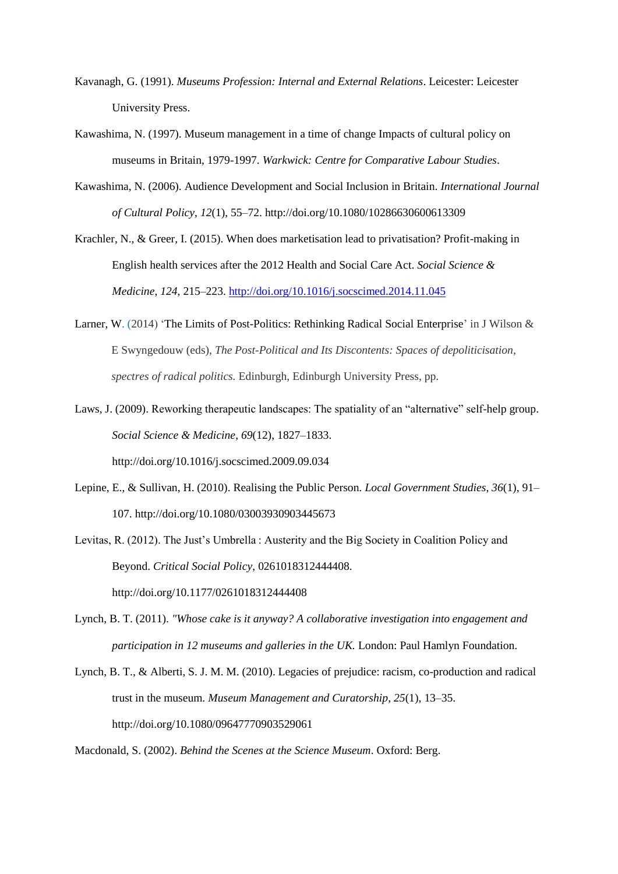- Kavanagh, G. (1991). *Museums Profession: Internal and External Relations*. Leicester: Leicester University Press.
- Kawashima, N. (1997). Museum management in a time of change Impacts of cultural policy on museums in Britain, 1979-1997. *Warkwick: Centre for Comparative Labour Studies*.
- Kawashima, N. (2006). Audience Development and Social Inclusion in Britain. *International Journal of Cultural Policy*, *12*(1), 55–72. http://doi.org/10.1080/10286630600613309
- Krachler, N., & Greer, I. (2015). When does marketisation lead to privatisation? Profit-making in English health services after the 2012 Health and Social Care Act. *Social Science & Medicine*, *124*, 215–223.<http://doi.org/10.1016/j.socscimed.2014.11.045>
- Larner, W. (2014) 'The Limits of Post-Politics: Rethinking Radical Social Enterprise' in J Wilson & E Swyngedouw (eds), *The Post-Political and Its Discontents: Spaces of depoliticisation, spectres of radical politics.* Edinburgh, Edinburgh University Press, pp.
- Laws, J. (2009). Reworking therapeutic landscapes: The spatiality of an "alternative" self-help group. *Social Science & Medicine*, *69*(12), 1827–1833. http://doi.org/10.1016/j.socscimed.2009.09.034
- Lepine, E., & Sullivan, H. (2010). Realising the Public Person. *Local Government Studies*, *36*(1), 91– 107. http://doi.org/10.1080/03003930903445673
- Levitas, R. (2012). The Just's Umbrella : Austerity and the Big Society in Coalition Policy and Beyond. *Critical Social Policy*, 0261018312444408. http://doi.org/10.1177/0261018312444408
- Lynch, B. T. (2011). *"Whose cake is it anyway? A collaborative investigation into engagement and participation in 12 museums and galleries in the UK.* London: Paul Hamlyn Foundation.
- Lynch, B. T., & Alberti, S. J. M. M. (2010). Legacies of prejudice: racism, co-production and radical trust in the museum. *Museum Management and Curatorship*, *25*(1), 13–35. http://doi.org/10.1080/09647770903529061

Macdonald, S. (2002). *Behind the Scenes at the Science Museum*. Oxford: Berg.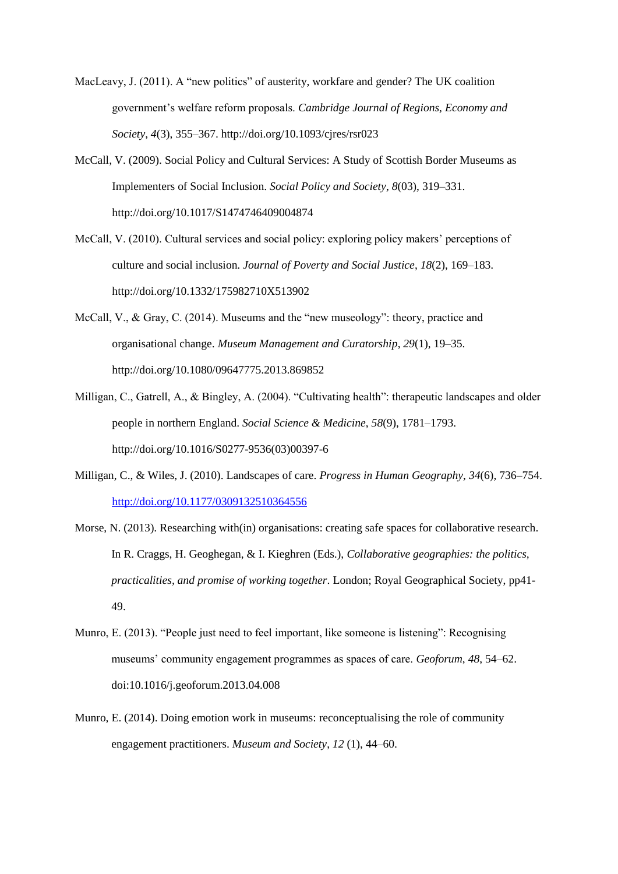- MacLeavy, J. (2011). A "new politics" of austerity, workfare and gender? The UK coalition government's welfare reform proposals. *Cambridge Journal of Regions, Economy and Society*, *4*(3), 355–367. http://doi.org/10.1093/cjres/rsr023
- McCall, V. (2009). Social Policy and Cultural Services: A Study of Scottish Border Museums as Implementers of Social Inclusion. *Social Policy and Society*, *8*(03), 319–331. http://doi.org/10.1017/S1474746409004874
- McCall, V. (2010). Cultural services and social policy: exploring policy makers' perceptions of culture and social inclusion. *Journal of Poverty and Social Justice*, *18*(2), 169–183. http://doi.org/10.1332/175982710X513902
- McCall, V., & Gray, C. (2014). Museums and the "new museology": theory, practice and organisational change. *Museum Management and Curatorship*, *29*(1), 19–35. http://doi.org/10.1080/09647775.2013.869852
- Milligan, C., Gatrell, A., & Bingley, A. (2004). "Cultivating health": therapeutic landscapes and older people in northern England. *Social Science & Medicine*, *58*(9), 1781–1793. http://doi.org/10.1016/S0277-9536(03)00397-6
- Milligan, C., & Wiles, J. (2010). Landscapes of care. *Progress in Human Geography*, *34*(6), 736–754. <http://doi.org/10.1177/0309132510364556>
- Morse, N. (2013). Researching with(in) organisations: creating safe spaces for collaborative research. In R. Craggs, H. Geoghegan, & I. Kieghren (Eds.), *Collaborative geographies: the politics, practicalities, and promise of working together*. London; Royal Geographical Society, pp41- 49.
- Munro, E. (2013). "People just need to feel important, like someone is listening": Recognising museums' community engagement programmes as spaces of care. *Geoforum*, *48*, 54–62. doi:10.1016/j.geoforum.2013.04.008
- Munro, E. (2014). Doing emotion work in museums: reconceptualising the role of community engagement practitioners. *Museum and Society*, *12* (1), 44–60.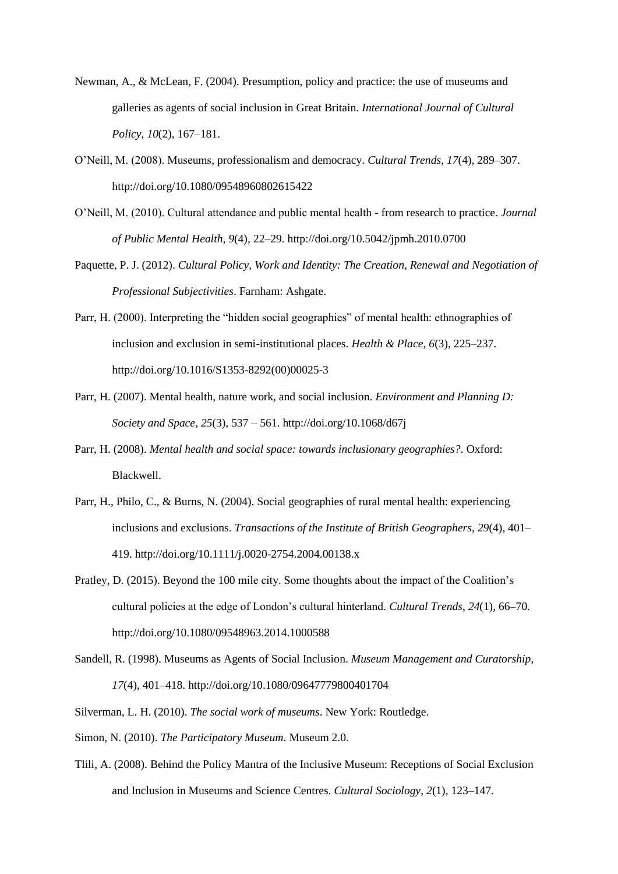- Newman, A., & McLean, F. (2004). Presumption, policy and practice: the use of museums and galleries as agents of social inclusion in Great Britain. *International Journal of Cultural Policy*, *10*(2), 167–181.
- O'Neill, M. (2008). Museums, professionalism and democracy. *Cultural Trends*, *17*(4), 289–307. http://doi.org/10.1080/09548960802615422
- O'Neill, M. (2010). Cultural attendance and public mental health from research to practice. *Journal of Public Mental Health*, *9*(4), 22–29. http://doi.org/10.5042/jpmh.2010.0700
- Paquette, P. J. (2012). *Cultural Policy, Work and Identity: The Creation, Renewal and Negotiation of Professional Subjectivities*. Farnham: Ashgate.
- Parr, H. (2000). Interpreting the "hidden social geographies" of mental health: ethnographies of inclusion and exclusion in semi-institutional places. *Health & Place*, *6*(3), 225–237. http://doi.org/10.1016/S1353-8292(00)00025-3
- Parr, H. (2007). Mental health, nature work, and social inclusion. *Environment and Planning D: Society and Space*, *25*(3), 537 – 561. http://doi.org/10.1068/d67j
- Parr, H. (2008). *Mental health and social space: towards inclusionary geographies?*. Oxford: Blackwell.
- Parr, H., Philo, C., & Burns, N. (2004). Social geographies of rural mental health: experiencing inclusions and exclusions. *Transactions of the Institute of British Geographers*, *29*(4), 401– 419. http://doi.org/10.1111/j.0020-2754.2004.00138.x
- Pratley, D. (2015). Beyond the 100 mile city. Some thoughts about the impact of the Coalition's cultural policies at the edge of London's cultural hinterland. *Cultural Trends*, *24*(1), 66–70. http://doi.org/10.1080/09548963.2014.1000588
- Sandell, R. (1998). Museums as Agents of Social Inclusion. *Museum Management and Curatorship*, *17*(4), 401–418. http://doi.org/10.1080/09647779800401704
- Silverman, L. H. (2010). *The social work of museums*. New York: Routledge.
- Simon, N. (2010). *The Participatory Museum*. Museum 2.0.
- Tlili, A. (2008). Behind the Policy Mantra of the Inclusive Museum: Receptions of Social Exclusion and Inclusion in Museums and Science Centres. *Cultural Sociology*, *2*(1), 123–147.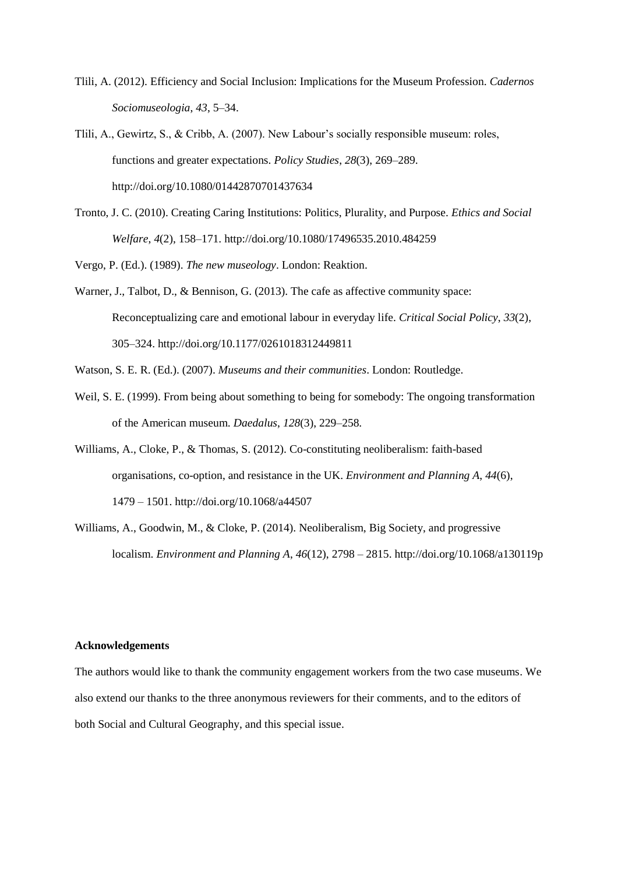- Tlili, A. (2012). Efficiency and Social Inclusion: Implications for the Museum Profession. *Cadernos Sociomuseologia*, *43*, 5–34.
- Tlili, A., Gewirtz, S., & Cribb, A. (2007). New Labour's socially responsible museum: roles, functions and greater expectations. *Policy Studies*, *28*(3), 269–289. http://doi.org/10.1080/01442870701437634
- Tronto, J. C. (2010). Creating Caring Institutions: Politics, Plurality, and Purpose. *Ethics and Social Welfare*, *4*(2), 158–171. http://doi.org/10.1080/17496535.2010.484259

Vergo, P. (Ed.). (1989). *The new museology*. London: Reaktion.

- Warner, J., Talbot, D., & Bennison, G. (2013). The cafe as affective community space: Reconceptualizing care and emotional labour in everyday life. *Critical Social Policy*, *33*(2), 305–324. http://doi.org/10.1177/0261018312449811
- Watson, S. E. R. (Ed.). (2007). *Museums and their communities*. London: Routledge.
- Weil, S. E. (1999). From being about something to being for somebody: The ongoing transformation of the American museum. *Daedalus*, *128*(3), 229–258.
- Williams, A., Cloke, P., & Thomas, S. (2012). Co-constituting neoliberalism: faith-based organisations, co-option, and resistance in the UK. *Environment and Planning A*, *44*(6), 1479 – 1501. http://doi.org/10.1068/a44507
- Williams, A., Goodwin, M., & Cloke, P. (2014). Neoliberalism, Big Society, and progressive localism. *Environment and Planning A*, *46*(12), 2798 – 2815. http://doi.org/10.1068/a130119p

# **Acknowledgements**

The authors would like to thank the community engagement workers from the two case museums. We also extend our thanks to the three anonymous reviewers for their comments, and to the editors of both Social and Cultural Geography, and this special issue.